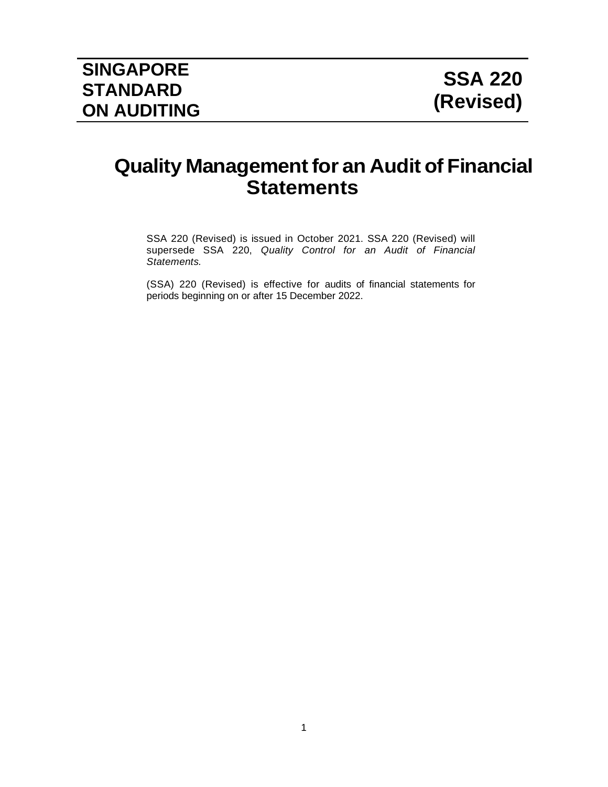# **Quality Management for an Audit of Financial Statements**

SSA 220 (Revised) is issued in October 2021. SSA 220 (Revised) will supersede SSA 220, *Quality Control for an Audit of Financial Statements.*

(SSA) 220 (Revised) is effective for audits of financial statements for periods beginning on or after 15 December 2022.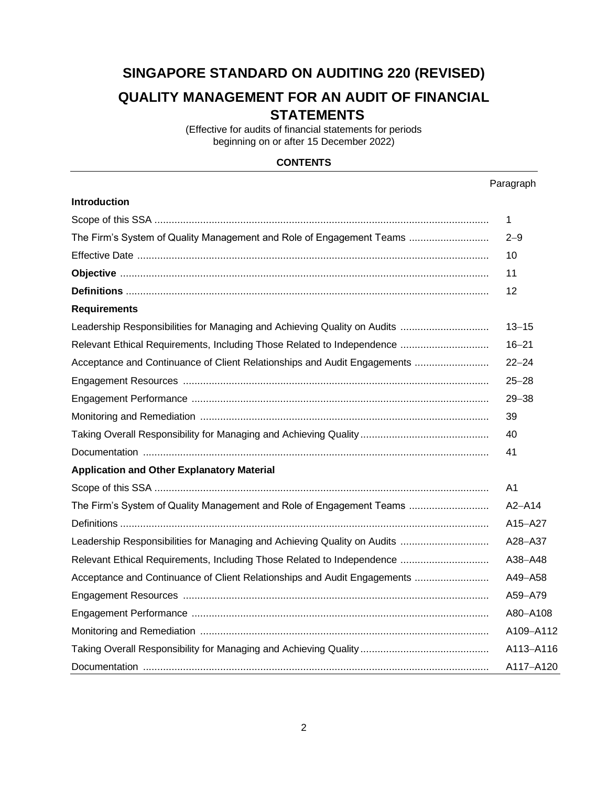# **SINGAPORE STANDARD ON AUDITING 220 (REVISED)**

# **QUALITY MANAGEMENT FOR AN AUDIT OF FINANCIAL STATEMENTS**

(Effective for audits of financial statements for periods beginning on or after 15 December 2022)

### **CONTENTS**

#### Paragraph

| <b>Introduction</b>                                                      |                |
|--------------------------------------------------------------------------|----------------|
|                                                                          | $\mathbf 1$    |
| The Firm's System of Quality Management and Role of Engagement Teams     | $2 - 9$        |
|                                                                          | 10             |
|                                                                          | 11             |
|                                                                          | 12             |
| <b>Requirements</b>                                                      |                |
| Leadership Responsibilities for Managing and Achieving Quality on Audits | $13 - 15$      |
| Relevant Ethical Requirements, Including Those Related to Independence   | $16 - 21$      |
| Acceptance and Continuance of Client Relationships and Audit Engagements | $22 - 24$      |
|                                                                          | $25 - 28$      |
|                                                                          | $29 - 38$      |
|                                                                          | 39             |
|                                                                          | 40             |
|                                                                          | 41             |
| <b>Application and Other Explanatory Material</b>                        |                |
|                                                                          | A <sub>1</sub> |
| The Firm's System of Quality Management and Role of Engagement Teams     | $A2 - A14$     |
|                                                                          | A15-A27        |
|                                                                          | A28-A37        |
| Relevant Ethical Requirements, Including Those Related to Independence   | A38-A48        |
| Acceptance and Continuance of Client Relationships and Audit Engagements | A49-A58        |
|                                                                          | A59-A79        |
|                                                                          | A80-A108       |
|                                                                          | A109-A112      |
|                                                                          | A113-A116      |
|                                                                          | A117-A120      |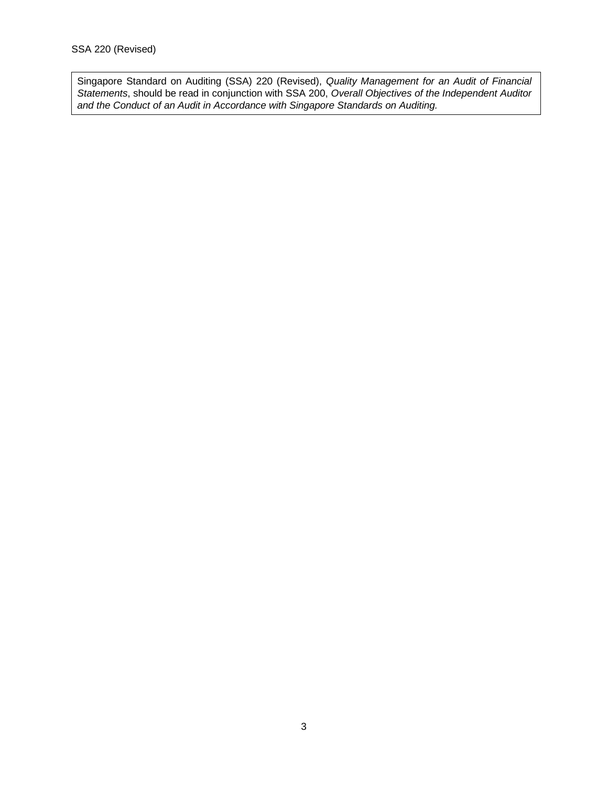Singapore Standard on Auditing (SSA) 220 (Revised), *Quality Management for an Audit of Financial Statements*, should be read in conjunction with SSA 200, *Overall Objectives of the Independent Auditor and the Conduct of an Audit in Accordance with Singapore Standards on Auditing.*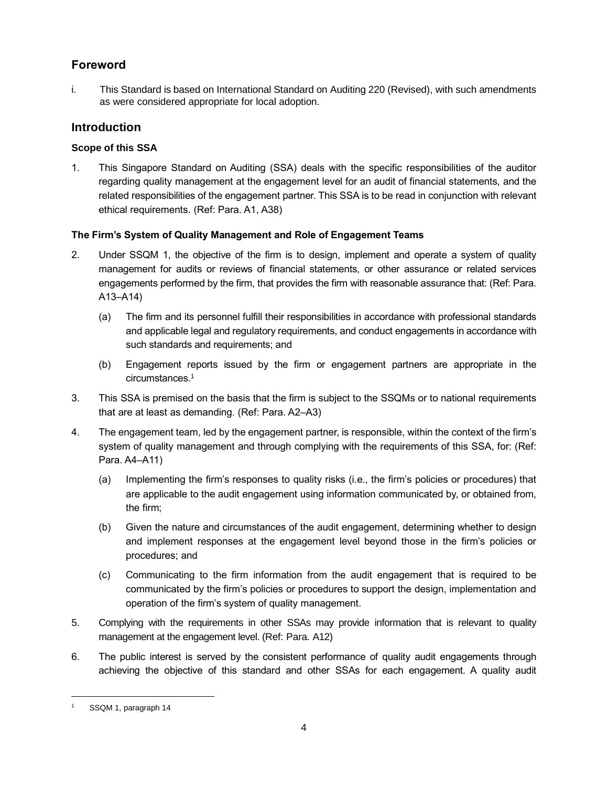# **Foreword**

i. This Standard is based on International Standard on Auditing 220 (Revised), with such amendments as were considered appropriate for local adoption.

## **Introduction**

## **Scope of this SSA**

1. This Singapore Standard on Auditing (SSA) deals with the specific responsibilities of the auditor regarding quality management at the engagement level for an audit of financial statements, and the related responsibilities of the engagement partner. This SSA is to be read in conjunction with relevant ethical requirements. (Ref: Para. A1, A38)

## **The Firm's System of Quality Management and Role of Engagement Teams**

- 2. Under SSQM 1, the objective of the firm is to design, implement and operate a system of quality management for audits or reviews of financial statements, or other assurance or related services engagements performed by the firm, that provides the firm with reasonable assurance that: (Ref: Para. A13–A14)
	- (a) The firm and its personnel fulfill their responsibilities in accordance with professional standards and applicable legal and regulatory requirements, and conduct engagements in accordance with such standards and requirements; and
	- (b) Engagement reports issued by the firm or engagement partners are appropriate in the circumstances.<sup>1</sup>
- 3. This SSA is premised on the basis that the firm is subject to the SSQMs or to national requirements that are at least as demanding. (Ref: Para. A2–A3)
- 4. The engagement team, led by the engagement partner, is responsible, within the context of the firm's system of quality management and through complying with the requirements of this SSA, for: (Ref: Para. A4–A11)
	- (a) Implementing the firm's responses to quality risks (i.e., the firm's policies or procedures) that are applicable to the audit engagement using information communicated by, or obtained from, the firm;
	- (b) Given the nature and circumstances of the audit engagement, determining whether to design and implement responses at the engagement level beyond those in the firm's policies or procedures; and
	- (c) Communicating to the firm information from the audit engagement that is required to be communicated by the firm's policies or procedures to support the design, implementation and operation of the firm's system of quality management.
- 5. Complying with the requirements in other SSAs may provide information that is relevant to quality management at the engagement level. (Ref: Para. A12)
- 6. The public interest is served by the consistent performance of quality audit engagements through achieving the objective of this standard and other SSAs for each engagement. A quality audit

SSQM 1, paragraph 14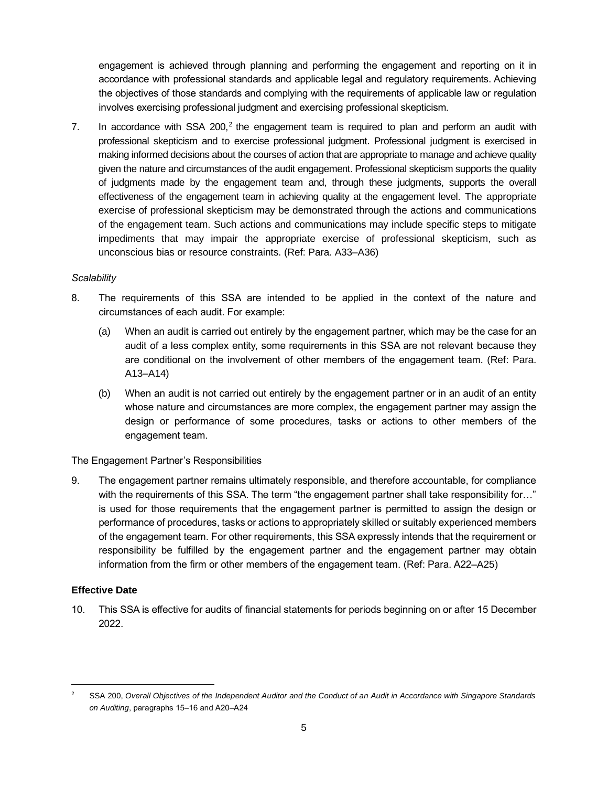engagement is achieved through planning and performing the engagement and reporting on it in accordance with professional standards and applicable legal and regulatory requirements. Achieving the objectives of those standards and complying with the requirements of applicable law or regulation involves exercising professional judgment and exercising professional skepticism.

7. In accordance with SSA 200, $2$  the engagement team is required to plan and perform an audit with professional skepticism and to exercise professional judgment. Professional judgment is exercised in making informed decisions about the courses of action that are appropriate to manage and achieve quality given the nature and circumstances of the audit engagement. Professional skepticism supports the quality of judgments made by the engagement team and, through these judgments, supports the overall effectiveness of the engagement team in achieving quality at the engagement level. The appropriate exercise of professional skepticism may be demonstrated through the actions and communications of the engagement team. Such actions and communications may include specific steps to mitigate impediments that may impair the appropriate exercise of professional skepticism, such as unconscious bias or resource constraints. (Ref: Para. A33–A36)

#### *Scalability*

- 8. The requirements of this SSA are intended to be applied in the context of the nature and circumstances of each audit. For example:
	- (a) When an audit is carried out entirely by the engagement partner, which may be the case for an audit of a less complex entity, some requirements in this SSA are not relevant because they are conditional on the involvement of other members of the engagement team. (Ref: Para. A13–A14)
	- (b) When an audit is not carried out entirely by the engagement partner or in an audit of an entity whose nature and circumstances are more complex, the engagement partner may assign the design or performance of some procedures, tasks or actions to other members of the engagement team.

#### The Engagement Partner's Responsibilities

9. The engagement partner remains ultimately responsible, and therefore accountable, for compliance with the requirements of this SSA. The term "the engagement partner shall take responsibility for..." is used for those requirements that the engagement partner is permitted to assign the design or performance of procedures, tasks or actions to appropriately skilled or suitably experienced members of the engagement team. For other requirements, this SSA expressly intends that the requirement or responsibility be fulfilled by the engagement partner and the engagement partner may obtain information from the firm or other members of the engagement team. (Ref: Para. A22–A25)

#### **Effective Date**

10. This SSA is effective for audits of financial statements for periods beginning on or after 15 December 2022.

<sup>2</sup> SSA 200, *Overall Objectives of the Independent Auditor and the Conduct of an Audit in Accordance with Singapore Standards*  on Auditing, paragraphs 15-16 and A20-A24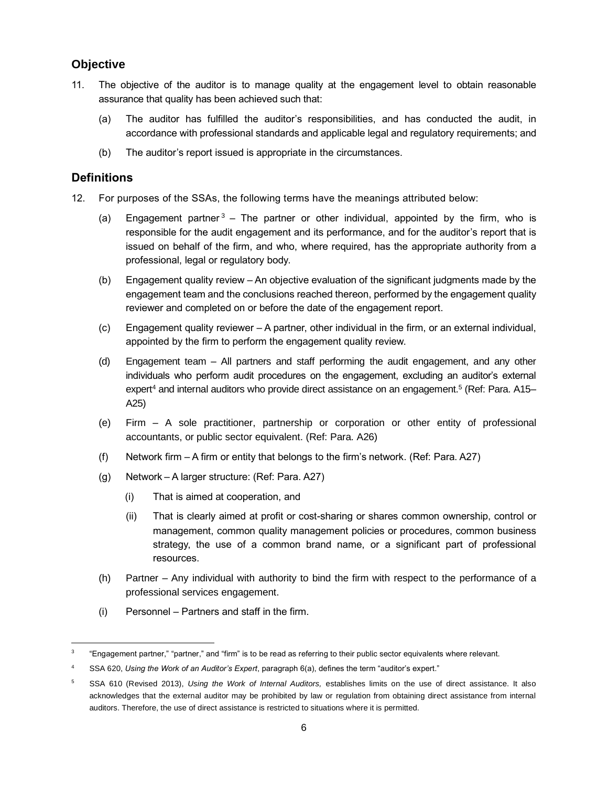## **Objective**

- 11. The objective of the auditor is to manage quality at the engagement level to obtain reasonable assurance that quality has been achieved such that:
	- (a) The auditor has fulfilled the auditor's responsibilities, and has conducted the audit, in accordance with professional standards and applicable legal and regulatory requirements; and
	- (b) The auditor's report issued is appropriate in the circumstances.

## **Definitions**

- 12. For purposes of the SSAs, the following terms have the meanings attributed below:
	- (a) Engagement partner<sup>3</sup> The partner or other individual, appointed by the firm, who is responsible for the audit engagement and its performance, and for the auditor's report that is issued on behalf of the firm, and who, where required, has the appropriate authority from a professional, legal or regulatory body.
	- (b) Engagement quality review An objective evaluation of the significant judgments made by the engagement team and the conclusions reached thereon, performed by the engagement quality reviewer and completed on or before the date of the engagement report.
	- (c) Engagement quality reviewer A partner, other individual in the firm, or an external individual, appointed by the firm to perform the engagement quality review.
	- (d) Engagement team All partners and staff performing the audit engagement, and any other individuals who perform audit procedures on the engagement, excluding an auditor's external expert<sup>4</sup> and internal auditors who provide direct assistance on an engagement.<sup>5</sup> (Ref: Para. A15– A25)
	- (e) Firm A sole practitioner, partnership or corporation or other entity of professional accountants, or public sector equivalent. (Ref: Para. A26)
	- (f) Network firm A firm or entity that belongs to the firm's network. (Ref: Para. A27)
	- (g) Network A larger structure: (Ref: Para. A27)
		- (i) That is aimed at cooperation, and
		- (ii) That is clearly aimed at profit or cost-sharing or shares common ownership, control or management, common quality management policies or procedures, common business strategy, the use of a common brand name, or a significant part of professional resources.
	- (h) Partner Any individual with authority to bind the firm with respect to the performance of a professional services engagement.
	- (i) Personnel Partners and staff in the firm.

<sup>3</sup> "Engagement partner," "partner," and "firm" is to be read as referring to their public sector equivalents where relevant.

<sup>4</sup> SSA 620, *Using the Work of an Auditor's Expert*, paragraph 6(a), defines the term "auditor's expert."

<sup>5</sup> SSA 610 (Revised 2013), *Using the Work of Internal Auditors,* establishes limits on the use of direct assistance. It also acknowledges that the external auditor may be prohibited by law or regulation from obtaining direct assistance from internal auditors. Therefore, the use of direct assistance is restricted to situations where it is permitted.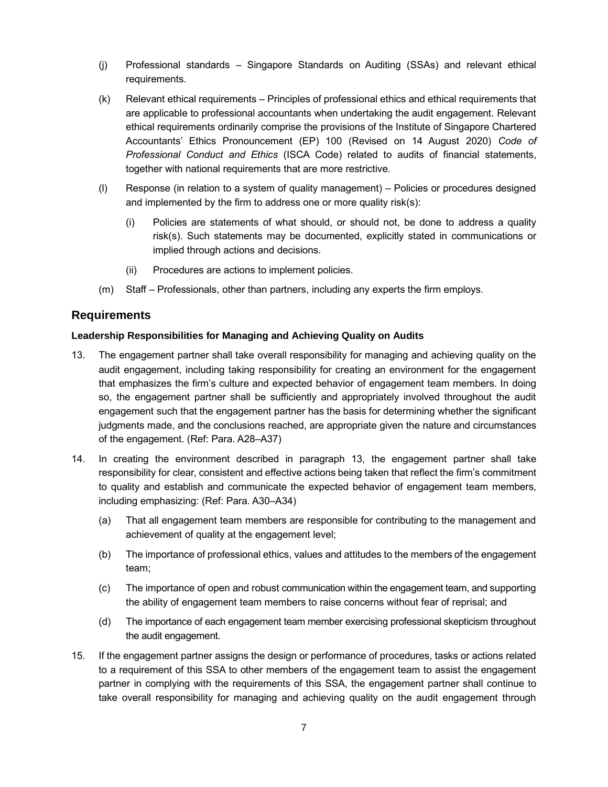- (j) Professional standards Singapore Standards on Auditing (SSAs) and relevant ethical requirements.
- (k) Relevant ethical requirements Principles of professional ethics and ethical requirements that are applicable to professional accountants when undertaking the audit engagement. Relevant ethical requirements ordinarily comprise the provisions of the Institute of Singapore Chartered Accountants' Ethics Pronouncement (EP) 100 (Revised on 14 August 2020) *Code of Professional Conduct and Ethics* (ISCA Code) related to audits of financial statements, together with national requirements that are more restrictive.
- (l) Response (in relation to a system of quality management) Policies or procedures designed and implemented by the firm to address one or more quality risk(s):
	- (i) Policies are statements of what should, or should not, be done to address a quality risk(s). Such statements may be documented, explicitly stated in communications or implied through actions and decisions.
	- (ii) Procedures are actions to implement policies.
- (m) Staff Professionals, other than partners, including any experts the firm employs.

## **Requirements**

#### **Leadership Responsibilities for Managing and Achieving Quality on Audits**

- 13. The engagement partner shall take overall responsibility for managing and achieving quality on the audit engagement, including taking responsibility for creating an environment for the engagement that emphasizes the firm's culture and expected behavior of engagement team members. In doing so, the engagement partner shall be sufficiently and appropriately involved throughout the audit engagement such that the engagement partner has the basis for determining whether the significant judgments made, and the conclusions reached, are appropriate given the nature and circumstances of the engagement. (Ref: Para. A28–A37)
- 14. In creating the environment described in paragraph 13, the engagement partner shall take responsibility for clear, consistent and effective actions being taken that reflect the firm's commitment to quality and establish and communicate the expected behavior of engagement team members, including emphasizing: (Ref: Para. A30–A34)
	- (a) That all engagement team members are responsible for contributing to the management and achievement of quality at the engagement level;
	- (b) The importance of professional ethics, values and attitudes to the members of the engagement team;
	- (c) The importance of open and robust communication within the engagement team, and supporting the ability of engagement team members to raise concerns without fear of reprisal; and
	- (d) The importance of each engagement team member exercising professional skepticism throughout the audit engagement.
- 15. If the engagement partner assigns the design or performance of procedures, tasks or actions related to a requirement of this SSA to other members of the engagement team to assist the engagement partner in complying with the requirements of this SSA, the engagement partner shall continue to take overall responsibility for managing and achieving quality on the audit engagement through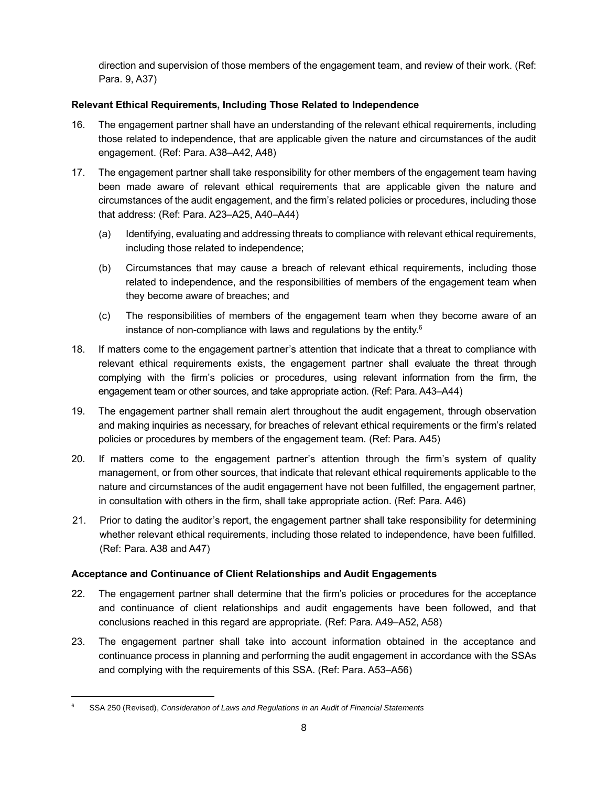direction and supervision of those members of the engagement team, and review of their work. (Ref: Para. 9, A37)

## **Relevant Ethical Requirements, Including Those Related to Independence**

- 16. The engagement partner shall have an understanding of the relevant ethical requirements, including those related to independence, that are applicable given the nature and circumstances of the audit engagement. (Ref: Para. A38–A42, A48)
- 17. The engagement partner shall take responsibility for other members of the engagement team having been made aware of relevant ethical requirements that are applicable given the nature and circumstances of the audit engagement, and the firm's related policies or procedures, including those that address: (Ref: Para. A23–A25, A40–A44)
	- (a) Identifying, evaluating and addressing threats to compliance with relevant ethical requirements, including those related to independence;
	- (b) Circumstances that may cause a breach of relevant ethical requirements, including those related to independence, and the responsibilities of members of the engagement team when they become aware of breaches; and
	- (c) The responsibilities of members of the engagement team when they become aware of an instance of non-compliance with laws and regulations by the entity. $6$
- 18. If matters come to the engagement partner's attention that indicate that a threat to compliance with relevant ethical requirements exists, the engagement partner shall evaluate the threat through complying with the firm's policies or procedures, using relevant information from the firm, the engagement team or other sources, and take appropriate action. (Ref: Para. A43–A44)
- 19. The engagement partner shall remain alert throughout the audit engagement, through observation and making inquiries as necessary, for breaches of relevant ethical requirements or the firm's related policies or procedures by members of the engagement team. (Ref: Para. A45)
- 20. If matters come to the engagement partner's attention through the firm's system of quality management, or from other sources, that indicate that relevant ethical requirements applicable to the nature and circumstances of the audit engagement have not been fulfilled, the engagement partner, in consultation with others in the firm, shall take appropriate action. (Ref: Para. A46)
- 21. Prior to dating the auditor's report, the engagement partner shall take responsibility for determining whether relevant ethical requirements, including those related to independence, have been fulfilled. (Ref: Para. A38 and A47)

## **Acceptance and Continuance of Client Relationships and Audit Engagements**

- 22. The engagement partner shall determine that the firm's policies or procedures for the acceptance and continuance of client relationships and audit engagements have been followed, and that conclusions reached in this regard are appropriate. (Ref: Para. A49–A52, A58)
- 23. The engagement partner shall take into account information obtained in the acceptance and continuance process in planning and performing the audit engagement in accordance with the SSAs and complying with the requirements of this SSA. (Ref: Para. A53–A56)

<sup>6</sup> SSA 250 (Revised), *Consideration of Laws and Regulations in an Audit of Financial Statements*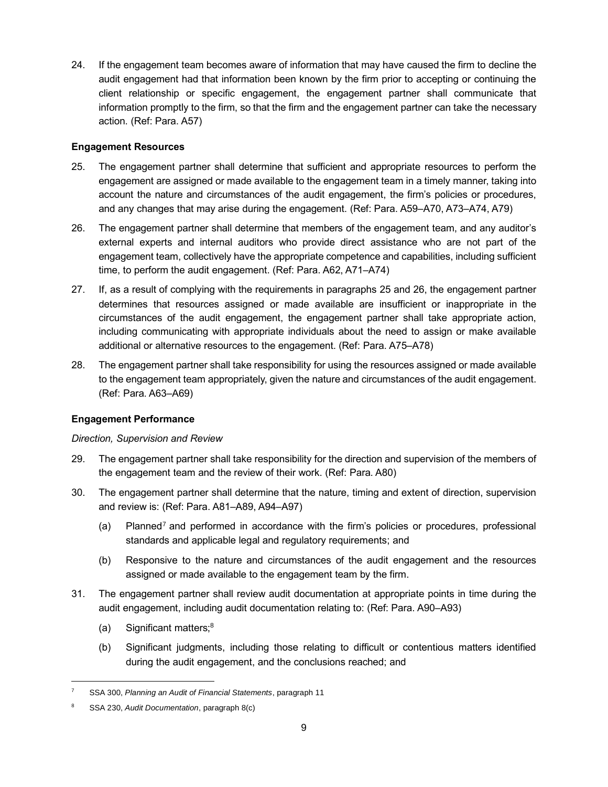24. If the engagement team becomes aware of information that may have caused the firm to decline the audit engagement had that information been known by the firm prior to accepting or continuing the client relationship or specific engagement, the engagement partner shall communicate that information promptly to the firm, so that the firm and the engagement partner can take the necessary action. (Ref: Para. A57)

#### **Engagement Resources**

- 25. The engagement partner shall determine that sufficient and appropriate resources to perform the engagement are assigned or made available to the engagement team in a timely manner, taking into account the nature and circumstances of the audit engagement, the firm's policies or procedures, and any changes that may arise during the engagement. (Ref: Para. A59–A70, A73–A74, A79)
- 26. The engagement partner shall determine that members of the engagement team, and any auditor's external experts and internal auditors who provide direct assistance who are not part of the engagement team, collectively have the appropriate competence and capabilities, including sufficient time, to perform the audit engagement. (Ref: Para. A62, A71–A74)
- 27. If, as a result of complying with the requirements in paragraphs 25 and 26, the engagement partner determines that resources assigned or made available are insufficient or inappropriate in the circumstances of the audit engagement, the engagement partner shall take appropriate action, including communicating with appropriate individuals about the need to assign or make available additional or alternative resources to the engagement. (Ref: Para. A75–A78)
- 28. The engagement partner shall take responsibility for using the resources assigned or made available to the engagement team appropriately, given the nature and circumstances of the audit engagement. (Ref: Para. A63–A69)

#### **Engagement Performance**

#### *Direction, Supervision and Review*

- 29. The engagement partner shall take responsibility for the direction and supervision of the members of the engagement team and the review of their work. (Ref: Para. A80)
- 30. The engagement partner shall determine that the nature, timing and extent of direction, supervision and review is: (Ref: Para. A81–A89, A94–A97)
	- (a) Planned<sup>7</sup> and performed in accordance with the firm's policies or procedures, professional standards and applicable legal and regulatory requirements; and
	- (b) Responsive to the nature and circumstances of the audit engagement and the resources assigned or made available to the engagement team by the firm.
- 31. The engagement partner shall review audit documentation at appropriate points in time during the audit engagement, including audit documentation relating to: (Ref: Para. A90–A93)
	- (a) Significant matters; $8$
	- (b) Significant judgments, including those relating to difficult or contentious matters identified during the audit engagement, and the conclusions reached; and

<sup>7</sup> SSA 300, *Planning an Audit of Financial Statements*, paragraph 11

<sup>8</sup> SSA 230, *Audit Documentation*, paragraph 8(c)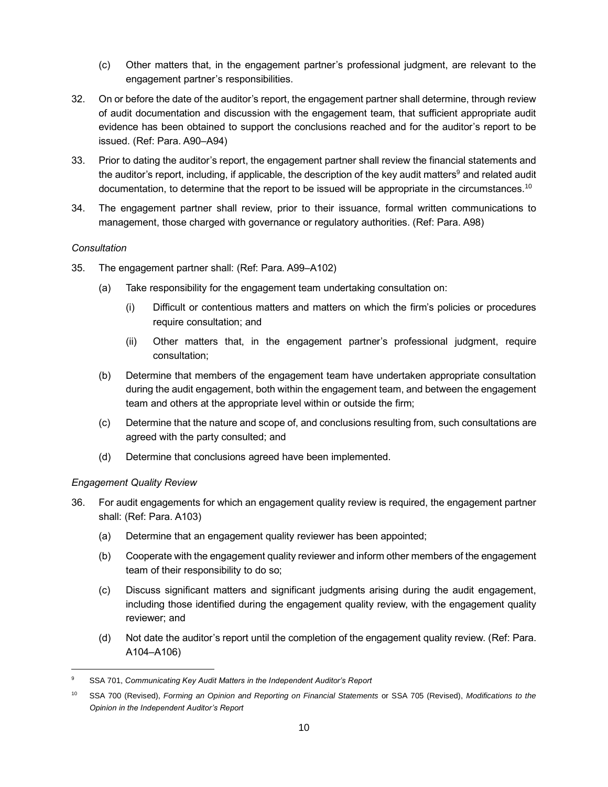- (c) Other matters that, in the engagement partner's professional judgment, are relevant to the engagement partner's responsibilities.
- 32. On or before the date of the auditor's report, the engagement partner shall determine, through review of audit documentation and discussion with the engagement team, that sufficient appropriate audit evidence has been obtained to support the conclusions reached and for the auditor's report to be issued. (Ref: Para. A90–A94)
- 33. Prior to dating the auditor's report, the engagement partner shall review the financial statements and the auditor's report, including, if applicable, the description of the key audit matters<sup>9</sup> and related audit documentation, to determine that the report to be issued will be appropriate in the circumstances.<sup>10</sup>
- 34. The engagement partner shall review, prior to their issuance, formal written communications to management, those charged with governance or regulatory authorities. (Ref: Para. A98)

#### *Consultation*

- 35. The engagement partner shall: (Ref: Para. A99–A102)
	- (a) Take responsibility for the engagement team undertaking consultation on:
		- (i) Difficult or contentious matters and matters on which the firm's policies or procedures require consultation; and
		- (ii) Other matters that, in the engagement partner's professional judgment, require consultation;
	- (b) Determine that members of the engagement team have undertaken appropriate consultation during the audit engagement, both within the engagement team, and between the engagement team and others at the appropriate level within or outside the firm;
	- (c) Determine that the nature and scope of, and conclusions resulting from, such consultations are agreed with the party consulted; and
	- (d) Determine that conclusions agreed have been implemented.

#### *Engagement Quality Review*

- 36. For audit engagements for which an engagement quality review is required, the engagement partner shall: (Ref: Para. A103)
	- (a) Determine that an engagement quality reviewer has been appointed;
	- (b) Cooperate with the engagement quality reviewer and inform other members of the engagement team of their responsibility to do so;
	- (c) Discuss significant matters and significant judgments arising during the audit engagement, including those identified during the engagement quality review, with the engagement quality reviewer; and
	- (d) Not date the auditor's report until the completion of the engagement quality review. (Ref: Para. A104–A106)

<sup>9</sup> SSA 701, *Communicating Key Audit Matters in the Independent Auditor's Report*

<sup>10</sup> SSA 700 (Revised), *Forming an Opinion and Reporting on Financial Statements* or SSA 705 (Revised), *Modifications to the Opinion in the Independent Auditor's Report*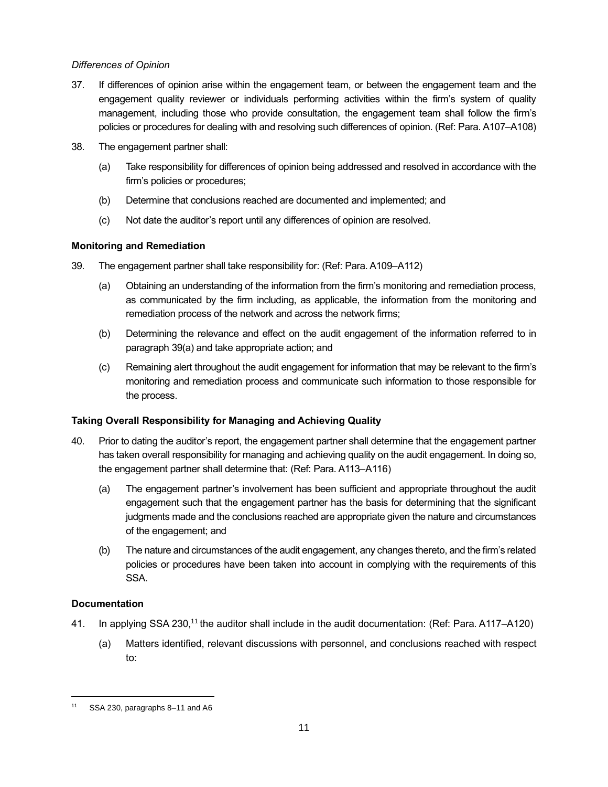### *Differences of Opinion*

- 37. If differences of opinion arise within the engagement team, or between the engagement team and the engagement quality reviewer or individuals performing activities within the firm's system of quality management, including those who provide consultation, the engagement team shall follow the firm's policies or procedures for dealing with and resolving such differences of opinion. (Ref: Para. A107–A108)
- 38. The engagement partner shall:
	- (a) Take responsibility for differences of opinion being addressed and resolved in accordance with the firm's policies or procedures;
	- (b) Determine that conclusions reached are documented and implemented; and
	- (c) Not date the auditor's report until any differences of opinion are resolved.

## **Monitoring and Remediation**

- 39. The engagement partner shall take responsibility for: (Ref: Para. A109‒A112)
	- (a) Obtaining an understanding of the information from the firm's monitoring and remediation process, as communicated by the firm including, as applicable, the information from the monitoring and remediation process of the network and across the network firms;
	- (b) Determining the relevance and effect on the audit engagement of the information referred to in paragraph 39(a) and take appropriate action; and
	- (c) Remaining alert throughout the audit engagement for information that may be relevant to the firm's monitoring and remediation process and communicate such information to those responsible for the process.

## **Taking Overall Responsibility for Managing and Achieving Quality**

- 40. Prior to dating the auditor's report, the engagement partner shall determine that the engagement partner has taken overall responsibility for managing and achieving quality on the audit engagement. In doing so, the engagement partner shall determine that: (Ref: Para. A113–A116)
	- (a) The engagement partner's involvement has been sufficient and appropriate throughout the audit engagement such that the engagement partner has the basis for determining that the significant judgments made and the conclusions reached are appropriate given the nature and circumstances of the engagement; and
	- (b) The nature and circumstances of the audit engagement, any changes thereto, and the firm's related policies or procedures have been taken into account in complying with the requirements of this SSA.

## **Documentation**

- 41. In applying SSA 230,<sup>11</sup> the auditor shall include in the audit documentation: (Ref: Para. A117–A120)
	- (a) Matters identified, relevant discussions with personnel, and conclusions reached with respect to:

<sup>11</sup> SSA 230, paragraphs 8–11 and A6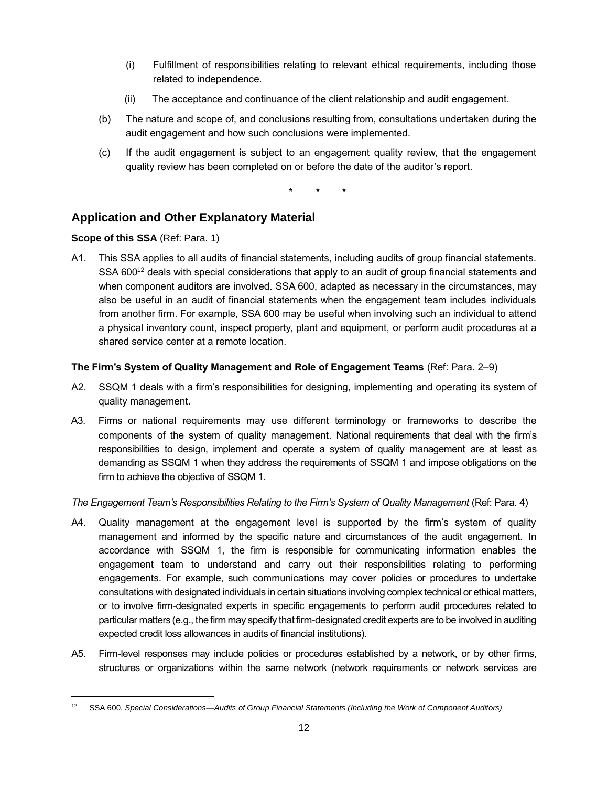- (i) Fulfillment of responsibilities relating to relevant ethical requirements, including those related to independence.
- (ii) The acceptance and continuance of the client relationship and audit engagement.
- (b) The nature and scope of, and conclusions resulting from, consultations undertaken during the audit engagement and how such conclusions were implemented.
- (c) If the audit engagement is subject to an engagement quality review, that the engagement quality review has been completed on or before the date of the auditor's report.

\* \* \*

# **Application and Other Explanatory Material**

## **Scope of this SSA** (Ref: Para. 1)

A1. This SSA applies to all audits of financial statements, including audits of group financial statements. SSA 600<sup>12</sup> deals with special considerations that apply to an audit of group financial statements and when component auditors are involved. SSA 600, adapted as necessary in the circumstances, may also be useful in an audit of financial statements when the engagement team includes individuals from another firm. For example, SSA 600 may be useful when involving such an individual to attend a physical inventory count, inspect property, plant and equipment, or perform audit procedures at a shared service center at a remote location.

## **The Firm's System of Quality Management and Role of Engagement Teams** (Ref: Para. 2–9)

- A2. SSQM 1 deals with a firm's responsibilities for designing, implementing and operating its system of quality management.
- A3. Firms or national requirements may use different terminology or frameworks to describe the components of the system of quality management. National requirements that deal with the firm's responsibilities to design, implement and operate a system of quality management are at least as demanding as SSQM 1 when they address the requirements of SSQM 1 and impose obligations on the firm to achieve the objective of SSQM 1.

#### *The Engagement Team's Responsibilities Relating to the Firm's System of Quality Management* (Ref: Para. 4)

- A4. Quality management at the engagement level is supported by the firm's system of quality management and informed by the specific nature and circumstances of the audit engagement. In accordance with SSQM 1, the firm is responsible for communicating information enables the engagement team to understand and carry out their responsibilities relating to performing engagements. For example, such communications may cover policies or procedures to undertake consultations with designated individuals in certain situations involving complex technical or ethical matters, or to involve firm-designated experts in specific engagements to perform audit procedures related to particular matters (e.g., the firm may specify that firm-designated credit experts are to be involved in auditing expected credit loss allowances in audits of financial institutions).
- A5. Firm-level responses may include policies or procedures established by a network, or by other firms, structures or organizations within the same network (network requirements or network services are

<sup>12</sup> SSA 600, *Special Considerations—Audits of Group Financial Statements (Including the Work of Component Auditors)*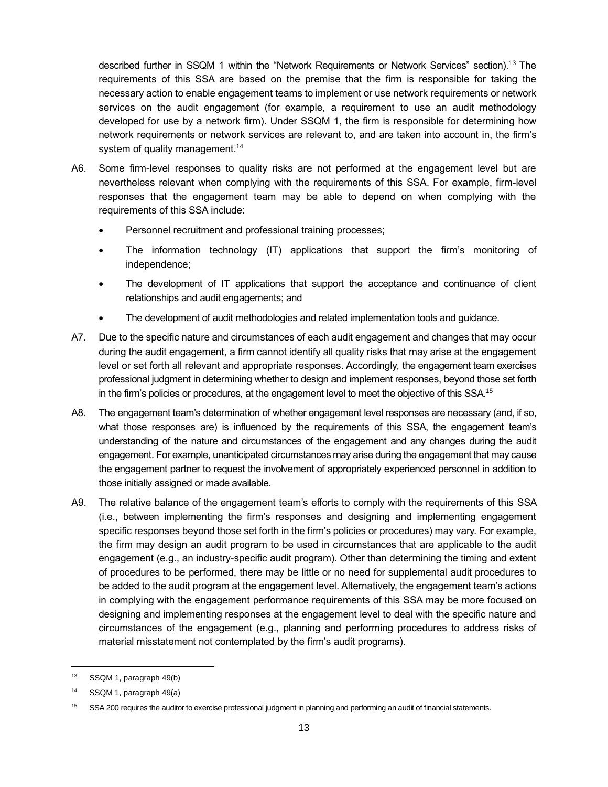described further in SSQM 1 within the "Network Requirements or Network Services" section).<sup>13</sup> The requirements of this SSA are based on the premise that the firm is responsible for taking the necessary action to enable engagement teams to implement or use network requirements or network services on the audit engagement (for example, a requirement to use an audit methodology developed for use by a network firm). Under SSQM 1, the firm is responsible for determining how network requirements or network services are relevant to, and are taken into account in, the firm's system of quality management.<sup>14</sup>

- A6. Some firm-level responses to quality risks are not performed at the engagement level but are nevertheless relevant when complying with the requirements of this SSA. For example, firm-level responses that the engagement team may be able to depend on when complying with the requirements of this SSA include:
	- Personnel recruitment and professional training processes;
	- The information technology (IT) applications that support the firm's monitoring of independence;
	- The development of IT applications that support the acceptance and continuance of client relationships and audit engagements; and
	- The development of audit methodologies and related implementation tools and guidance.
- A7. Due to the specific nature and circumstances of each audit engagement and changes that may occur during the audit engagement, a firm cannot identify all quality risks that may arise at the engagement level or set forth all relevant and appropriate responses. Accordingly, the engagement team exercises professional judgment in determining whether to design and implement responses, beyond those set forth in the firm's policies or procedures, at the engagement level to meet the objective of this SSA.<sup>15</sup>
- A8. The engagement team's determination of whether engagement level responses are necessary (and, if so, what those responses are) is influenced by the requirements of this SSA, the engagement team's understanding of the nature and circumstances of the engagement and any changes during the audit engagement. For example, unanticipated circumstances may arise during the engagement that may cause the engagement partner to request the involvement of appropriately experienced personnel in addition to those initially assigned or made available.
- A9. The relative balance of the engagement team's efforts to comply with the requirements of this SSA (i.e., between implementing the firm's responses and designing and implementing engagement specific responses beyond those set forth in the firm's policies or procedures) may vary. For example, the firm may design an audit program to be used in circumstances that are applicable to the audit engagement (e.g., an industry-specific audit program). Other than determining the timing and extent of procedures to be performed, there may be little or no need for supplemental audit procedures to be added to the audit program at the engagement level. Alternatively, the engagement team's actions in complying with the engagement performance requirements of this SSA may be more focused on designing and implementing responses at the engagement level to deal with the specific nature and circumstances of the engagement (e.g., planning and performing procedures to address risks of material misstatement not contemplated by the firm's audit programs).

<sup>13</sup> SSQM 1, paragraph 49(b)

<sup>14</sup> SSQM 1, paragraph 49(a)

<sup>&</sup>lt;sup>15</sup> SSA 200 requires the auditor to exercise professional judgment in planning and performing an audit of financial statements.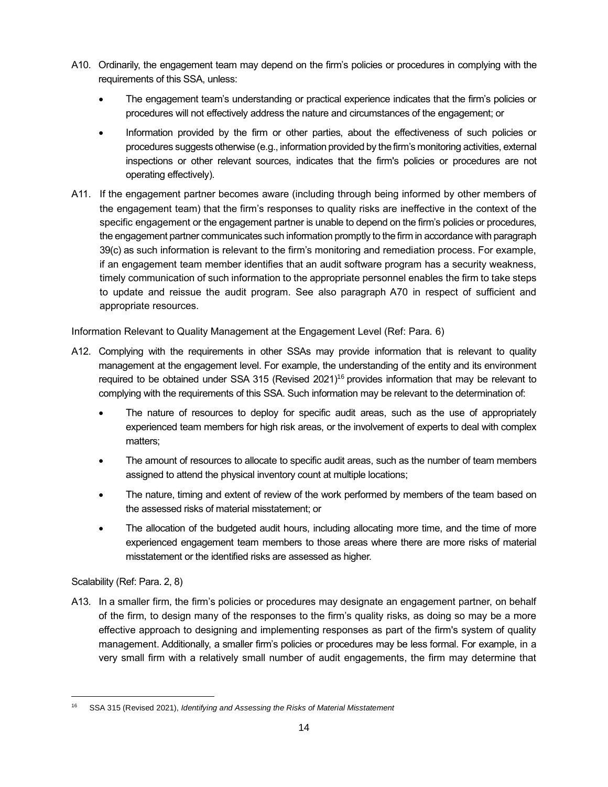- A10. Ordinarily, the engagement team may depend on the firm's policies or procedures in complying with the requirements of this SSA, unless:
	- The engagement team's understanding or practical experience indicates that the firm's policies or procedures will not effectively address the nature and circumstances of the engagement; or
	- Information provided by the firm or other parties, about the effectiveness of such policies or procedures suggests otherwise (e.g., information provided by the firm's monitoring activities, external inspections or other relevant sources, indicates that the firm's policies or procedures are not operating effectively).
- A11. If the engagement partner becomes aware (including through being informed by other members of the engagement team) that the firm's responses to quality risks are ineffective in the context of the specific engagement or the engagement partner is unable to depend on the firm's policies or procedures, the engagement partner communicates such information promptly to the firm in accordance with paragraph 39(c) as such information is relevant to the firm's monitoring and remediation process. For example, if an engagement team member identifies that an audit software program has a security weakness, timely communication of such information to the appropriate personnel enables the firm to take steps to update and reissue the audit program. See also paragraph A70 in respect of sufficient and appropriate resources.

Information Relevant to Quality Management at the Engagement Level (Ref: Para. 6)

- A12. Complying with the requirements in other SSAs may provide information that is relevant to quality management at the engagement level. For example, the understanding of the entity and its environment required to be obtained under SSA 315 (Revised 2021)<sup>16</sup> provides information that may be relevant to complying with the requirements of this SSA. Such information may be relevant to the determination of:
	- The nature of resources to deploy for specific audit areas, such as the use of appropriately experienced team members for high risk areas, or the involvement of experts to deal with complex matters;
	- The amount of resources to allocate to specific audit areas, such as the number of team members assigned to attend the physical inventory count at multiple locations;
	- The nature, timing and extent of review of the work performed by members of the team based on the assessed risks of material misstatement; or
	- The allocation of the budgeted audit hours, including allocating more time, and the time of more experienced engagement team members to those areas where there are more risks of material misstatement or the identified risks are assessed as higher.

Scalability (Ref: Para. 2, 8)

A13. In a smaller firm, the firm's policies or procedures may designate an engagement partner, on behalf of the firm, to design many of the responses to the firm's quality risks, as doing so may be a more effective approach to designing and implementing responses as part of the firm's system of quality management. Additionally, a smaller firm's policies or procedures may be less formal. For example, in a very small firm with a relatively small number of audit engagements, the firm may determine that

<sup>16</sup> SSA 315 (Revised 2021), *Identifying and Assessing the Risks of Material Misstatement*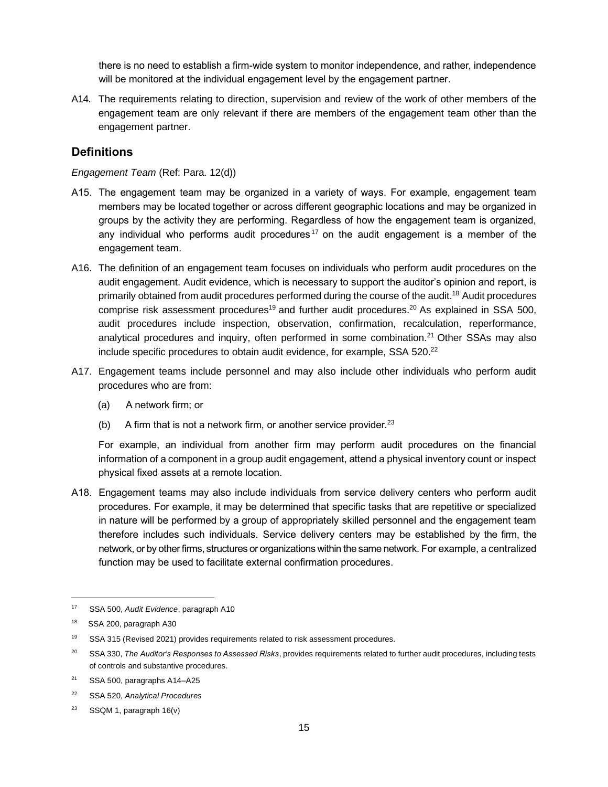there is no need to establish a firm-wide system to monitor independence, and rather, independence will be monitored at the individual engagement level by the engagement partner.

A14. The requirements relating to direction, supervision and review of the work of other members of the engagement team are only relevant if there are members of the engagement team other than the engagement partner.

## **Definitions**

#### *Engagement Team* (Ref: Para. 12(d))

- A15. The engagement team may be organized in a variety of ways. For example, engagement team members may be located together or across different geographic locations and may be organized in groups by the activity they are performing. Regardless of how the engagement team is organized, any individual who performs audit procedures<sup>17</sup> on the audit engagement is a member of the engagement team.
- A16. The definition of an engagement team focuses on individuals who perform audit procedures on the audit engagement. Audit evidence, which is necessary to support the auditor's opinion and report, is primarily obtained from audit procedures performed during the course of the audit.<sup>18</sup> Audit procedures comprise risk assessment procedures<sup>19</sup> and further audit procedures.<sup>20</sup> As explained in SSA 500, audit procedures include inspection, observation, confirmation, recalculation, reperformance, analytical procedures and inquiry, often performed in some combination.<sup>21</sup> Other SSAs may also include specific procedures to obtain audit evidence, for example, SSA 520.<sup>22</sup>
- A17. Engagement teams include personnel and may also include other individuals who perform audit procedures who are from:
	- (a) A network firm; or
	- (b) A firm that is not a network firm, or another service provider.  $23$

For example, an individual from another firm may perform audit procedures on the financial information of a component in a group audit engagement, attend a physical inventory count or inspect physical fixed assets at a remote location.

A18. Engagement teams may also include individuals from service delivery centers who perform audit procedures. For example, it may be determined that specific tasks that are repetitive or specialized in nature will be performed by a group of appropriately skilled personnel and the engagement team therefore includes such individuals. Service delivery centers may be established by the firm, the network, or by other firms, structures or organizations within the same network. For example, a centralized function may be used to facilitate external confirmation procedures.

<sup>17</sup> SSA 500, *Audit Evidence*, paragraph A10

<sup>18</sup> SSA 200, paragraph A30

<sup>&</sup>lt;sup>19</sup> SSA 315 (Revised 2021) provides requirements related to risk assessment procedures.

<sup>20</sup> SSA 330, *The Auditor's Responses to Assessed Risks*, provides requirements related to further audit procedures, including tests of controls and substantive procedures.

<sup>&</sup>lt;sup>21</sup> SSA 500, paragraphs A14-A25

<sup>22</sup> SSA 520, *Analytical Procedures*

<sup>23</sup> SSQM 1, paragraph 16(v)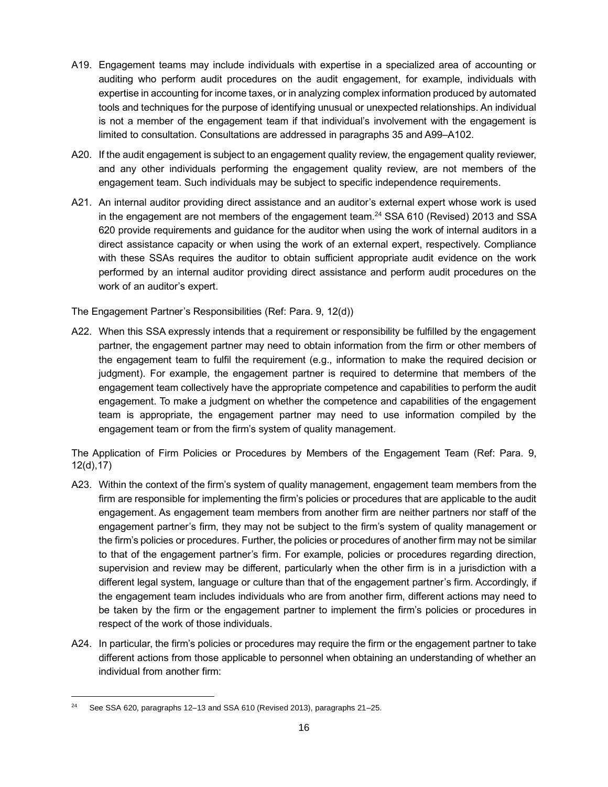- A19. Engagement teams may include individuals with expertise in a specialized area of accounting or auditing who perform audit procedures on the audit engagement, for example, individuals with expertise in accounting for income taxes, or in analyzing complex information produced by automated tools and techniques for the purpose of identifying unusual or unexpected relationships. An individual is not a member of the engagement team if that individual's involvement with the engagement is limited to consultation. Consultations are addressed in paragraphs 35 and A99–A102.
- A20. If the audit engagement is subject to an engagement quality review, the engagement quality reviewer, and any other individuals performing the engagement quality review, are not members of the engagement team. Such individuals may be subject to specific independence requirements.
- A21. An internal auditor providing direct assistance and an auditor's external expert whose work is used in the engagement are not members of the engagement team.<sup>24</sup> SSA 610 (Revised) 2013 and SSA 620 provide requirements and guidance for the auditor when using the work of internal auditors in a direct assistance capacity or when using the work of an external expert, respectively. Compliance with these SSAs requires the auditor to obtain sufficient appropriate audit evidence on the work performed by an internal auditor providing direct assistance and perform audit procedures on the work of an auditor's expert.

The Engagement Partner's Responsibilities (Ref: Para. 9, 12(d))

A22. When this SSA expressly intends that a requirement or responsibility be fulfilled by the engagement partner, the engagement partner may need to obtain information from the firm or other members of the engagement team to fulfil the requirement (e.g., information to make the required decision or judgment). For example, the engagement partner is required to determine that members of the engagement team collectively have the appropriate competence and capabilities to perform the audit engagement. To make a judgment on whether the competence and capabilities of the engagement team is appropriate, the engagement partner may need to use information compiled by the engagement team or from the firm's system of quality management.

The Application of Firm Policies or Procedures by Members of the Engagement Team (Ref: Para. 9, 12(d),17)

- A23. Within the context of the firm's system of quality management, engagement team members from the firm are responsible for implementing the firm's policies or procedures that are applicable to the audit engagement. As engagement team members from another firm are neither partners nor staff of the engagement partner's firm, they may not be subject to the firm's system of quality management or the firm's policies or procedures. Further, the policies or procedures of another firm may not be similar to that of the engagement partner's firm. For example, policies or procedures regarding direction, supervision and review may be different, particularly when the other firm is in a jurisdiction with a different legal system, language or culture than that of the engagement partner's firm. Accordingly, if the engagement team includes individuals who are from another firm, different actions may need to be taken by the firm or the engagement partner to implement the firm's policies or procedures in respect of the work of those individuals.
- A24. In particular, the firm's policies or procedures may require the firm or the engagement partner to take different actions from those applicable to personnel when obtaining an understanding of whether an individual from another firm:

<sup>&</sup>lt;sup>24</sup> See SSA 620, paragraphs 12–13 and SSA 610 (Revised 2013), paragraphs 21–25.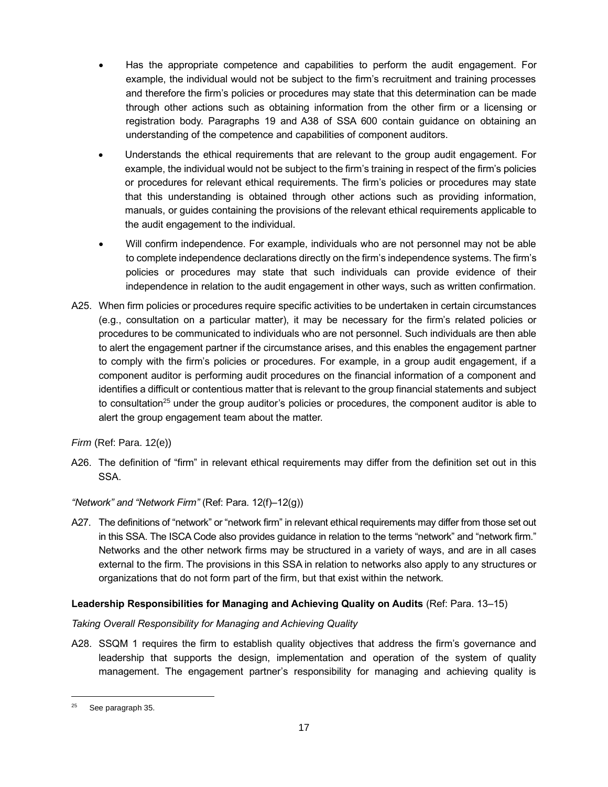- Has the appropriate competence and capabilities to perform the audit engagement. For example, the individual would not be subject to the firm's recruitment and training processes and therefore the firm's policies or procedures may state that this determination can be made through other actions such as obtaining information from the other firm or a licensing or registration body. Paragraphs 19 and A38 of SSA 600 contain guidance on obtaining an understanding of the competence and capabilities of component auditors.
- Understands the ethical requirements that are relevant to the group audit engagement. For example, the individual would not be subject to the firm's training in respect of the firm's policies or procedures for relevant ethical requirements. The firm's policies or procedures may state that this understanding is obtained through other actions such as providing information, manuals, or guides containing the provisions of the relevant ethical requirements applicable to the audit engagement to the individual.
- Will confirm independence. For example, individuals who are not personnel may not be able to complete independence declarations directly on the firm's independence systems. The firm's policies or procedures may state that such individuals can provide evidence of their independence in relation to the audit engagement in other ways, such as written confirmation.
- A25. When firm policies or procedures require specific activities to be undertaken in certain circumstances (e.g., consultation on a particular matter), it may be necessary for the firm's related policies or procedures to be communicated to individuals who are not personnel. Such individuals are then able to alert the engagement partner if the circumstance arises, and this enables the engagement partner to comply with the firm's policies or procedures. For example, in a group audit engagement, if a component auditor is performing audit procedures on the financial information of a component and identifies a difficult or contentious matter that is relevant to the group financial statements and subject to consultation<sup>25</sup> under the group auditor's policies or procedures, the component auditor is able to alert the group engagement team about the matter.

*Firm* (Ref: Para. 12(e))

A26. The definition of "firm" in relevant ethical requirements may differ from the definition set out in this SSA.

*"Network" and "Network Firm"* (Ref: Para. 12(f)–12(g))

A27. The definitions of "network" or "network firm" in relevant ethical requirements may differ from those set out in this SSA. The ISCA Code also provides guidance in relation to the terms "network" and "network firm." Networks and the other network firms may be structured in a variety of ways, and are in all cases external to the firm. The provisions in this SSA in relation to networks also apply to any structures or organizations that do not form part of the firm, but that exist within the network.

## **Leadership Responsibilities for Managing and Achieving Quality on Audits** (Ref: Para. 13–15)

#### *Taking Overall Responsibility for Managing and Achieving Quality*

A28. SSQM 1 requires the firm to establish quality objectives that address the firm's governance and leadership that supports the design, implementation and operation of the system of quality management. The engagement partner's responsibility for managing and achieving quality is

 $25$  See paragraph 35.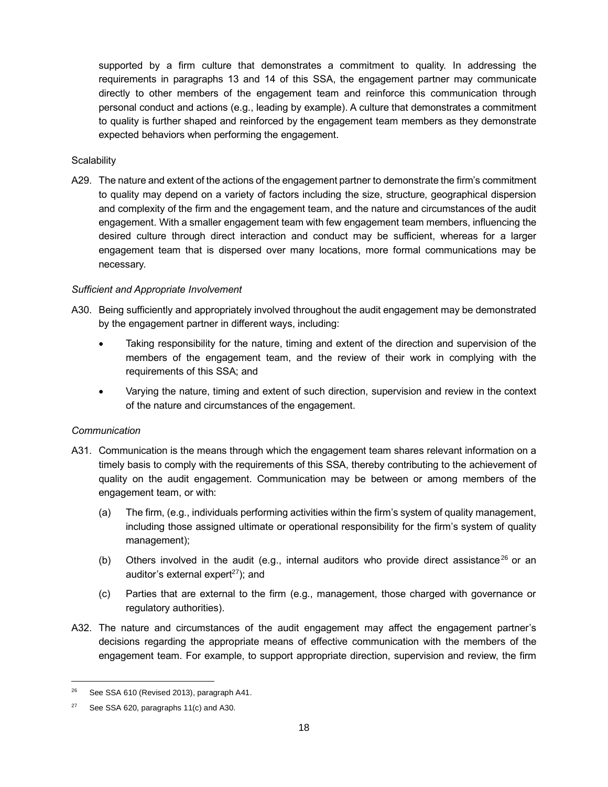supported by a firm culture that demonstrates a commitment to quality. In addressing the requirements in paragraphs 13 and 14 of this SSA, the engagement partner may communicate directly to other members of the engagement team and reinforce this communication through personal conduct and actions (e.g., leading by example). A culture that demonstrates a commitment to quality is further shaped and reinforced by the engagement team members as they demonstrate expected behaviors when performing the engagement.

#### **Scalability**

A29. The nature and extent of the actions of the engagement partner to demonstrate the firm's commitment to quality may depend on a variety of factors including the size, structure, geographical dispersion and complexity of the firm and the engagement team, and the nature and circumstances of the audit engagement. With a smaller engagement team with few engagement team members, influencing the desired culture through direct interaction and conduct may be sufficient, whereas for a larger engagement team that is dispersed over many locations, more formal communications may be necessary.

#### *Sufficient and Appropriate Involvement*

- A30. Being sufficiently and appropriately involved throughout the audit engagement may be demonstrated by the engagement partner in different ways, including:
	- Taking responsibility for the nature, timing and extent of the direction and supervision of the members of the engagement team, and the review of their work in complying with the requirements of this SSA; and
	- Varying the nature, timing and extent of such direction, supervision and review in the context of the nature and circumstances of the engagement.

#### *Communication*

- A31. Communication is the means through which the engagement team shares relevant information on a timely basis to comply with the requirements of this SSA, thereby contributing to the achievement of quality on the audit engagement. Communication may be between or among members of the engagement team, or with:
	- (a) The firm, (e.g., individuals performing activities within the firm's system of quality management, including those assigned ultimate or operational responsibility for the firm's system of quality management);
	- (b) Others involved in the audit (e.g., internal auditors who provide direct assistance<sup>26</sup> or an auditor's external expert<sup>27</sup>); and
	- (c) Parties that are external to the firm (e.g., management, those charged with governance or regulatory authorities).
- A32. The nature and circumstances of the audit engagement may affect the engagement partner's decisions regarding the appropriate means of effective communication with the members of the engagement team. For example, to support appropriate direction, supervision and review, the firm

<sup>&</sup>lt;sup>26</sup> See SSA 610 (Revised 2013), paragraph A41.

<sup>&</sup>lt;sup>27</sup> See SSA 620, paragraphs  $11(c)$  and A30.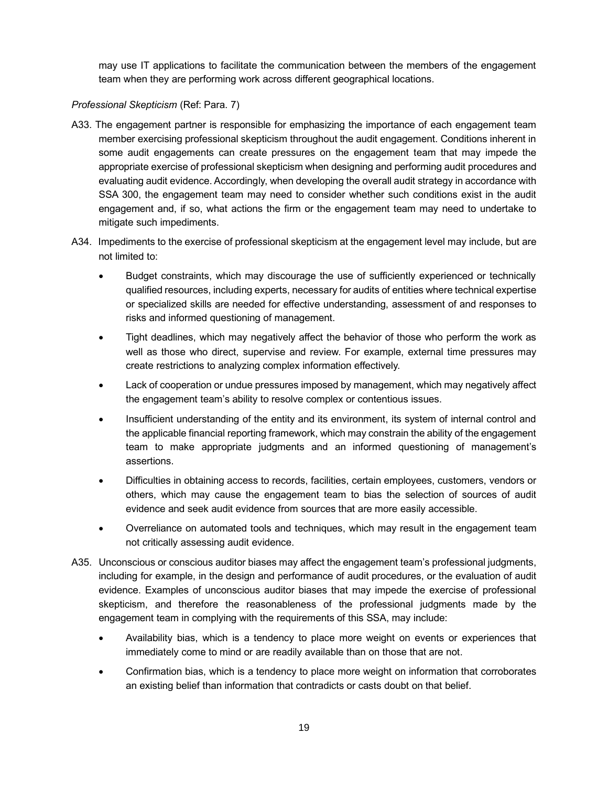may use IT applications to facilitate the communication between the members of the engagement team when they are performing work across different geographical locations.

#### *Professional Skepticism* (Ref: Para. 7)

- A33. The engagement partner is responsible for emphasizing the importance of each engagement team member exercising professional skepticism throughout the audit engagement. Conditions inherent in some audit engagements can create pressures on the engagement team that may impede the appropriate exercise of professional skepticism when designing and performing audit procedures and evaluating audit evidence. Accordingly, when developing the overall audit strategy in accordance with SSA 300, the engagement team may need to consider whether such conditions exist in the audit engagement and, if so, what actions the firm or the engagement team may need to undertake to mitigate such impediments.
- A34. Impediments to the exercise of professional skepticism at the engagement level may include, but are not limited to:
	- Budget constraints, which may discourage the use of sufficiently experienced or technically qualified resources, including experts, necessary for audits of entities where technical expertise or specialized skills are needed for effective understanding, assessment of and responses to risks and informed questioning of management.
	- Tight deadlines, which may negatively affect the behavior of those who perform the work as well as those who direct, supervise and review. For example, external time pressures may create restrictions to analyzing complex information effectively.
	- Lack of cooperation or undue pressures imposed by management, which may negatively affect the engagement team's ability to resolve complex or contentious issues.
	- Insufficient understanding of the entity and its environment, its system of internal control and the applicable financial reporting framework, which may constrain the ability of the engagement team to make appropriate judgments and an informed questioning of management's assertions.
	- Difficulties in obtaining access to records, facilities, certain employees, customers, vendors or others, which may cause the engagement team to bias the selection of sources of audit evidence and seek audit evidence from sources that are more easily accessible.
	- Overreliance on automated tools and techniques, which may result in the engagement team not critically assessing audit evidence.
- A35. Unconscious or conscious auditor biases may affect the engagement team's professional judgments, including for example, in the design and performance of audit procedures, or the evaluation of audit evidence. Examples of unconscious auditor biases that may impede the exercise of professional skepticism, and therefore the reasonableness of the professional judgments made by the engagement team in complying with the requirements of this SSA, may include:
	- Availability bias, which is a tendency to place more weight on events or experiences that immediately come to mind or are readily available than on those that are not.
	- Confirmation bias, which is a tendency to place more weight on information that corroborates an existing belief than information that contradicts or casts doubt on that belief.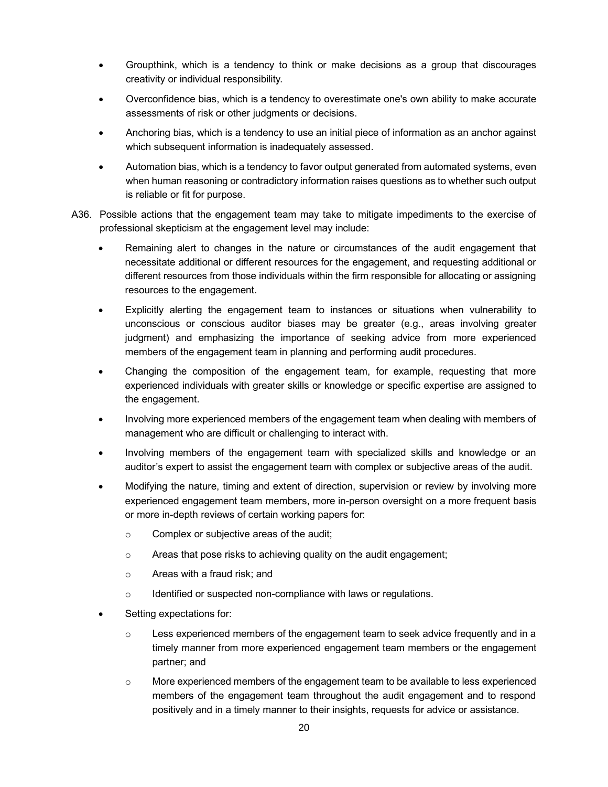- Groupthink, which is a tendency to think or make decisions as a group that discourages creativity or individual responsibility.
- Overconfidence bias, which is a tendency to overestimate one's own ability to make accurate assessments of risk or other judgments or decisions.
- Anchoring bias, which is a tendency to use an initial piece of information as an anchor against which subsequent information is inadequately assessed.
- Automation bias, which is a tendency to favor output generated from automated systems, even when human reasoning or contradictory information raises questions as to whether such output is reliable or fit for purpose.
- A36. Possible actions that the engagement team may take to mitigate impediments to the exercise of professional skepticism at the engagement level may include:
	- Remaining alert to changes in the nature or circumstances of the audit engagement that necessitate additional or different resources for the engagement, and requesting additional or different resources from those individuals within the firm responsible for allocating or assigning resources to the engagement.
	- Explicitly alerting the engagement team to instances or situations when vulnerability to unconscious or conscious auditor biases may be greater (e.g., areas involving greater judgment) and emphasizing the importance of seeking advice from more experienced members of the engagement team in planning and performing audit procedures.
	- Changing the composition of the engagement team, for example, requesting that more experienced individuals with greater skills or knowledge or specific expertise are assigned to the engagement.
	- Involving more experienced members of the engagement team when dealing with members of management who are difficult or challenging to interact with.
	- Involving members of the engagement team with specialized skills and knowledge or an auditor's expert to assist the engagement team with complex or subjective areas of the audit.
	- Modifying the nature, timing and extent of direction, supervision or review by involving more experienced engagement team members, more in-person oversight on a more frequent basis or more in-depth reviews of certain working papers for:
		- o Complex or subjective areas of the audit;
		- o Areas that pose risks to achieving quality on the audit engagement;
		- o Areas with a fraud risk; and
		- $\circ$  Identified or suspected non-compliance with laws or regulations.
	- Setting expectations for:
		- $\circ$  Less experienced members of the engagement team to seek advice frequently and in a timely manner from more experienced engagement team members or the engagement partner; and
		- $\circ$  More experienced members of the engagement team to be available to less experienced members of the engagement team throughout the audit engagement and to respond positively and in a timely manner to their insights, requests for advice or assistance.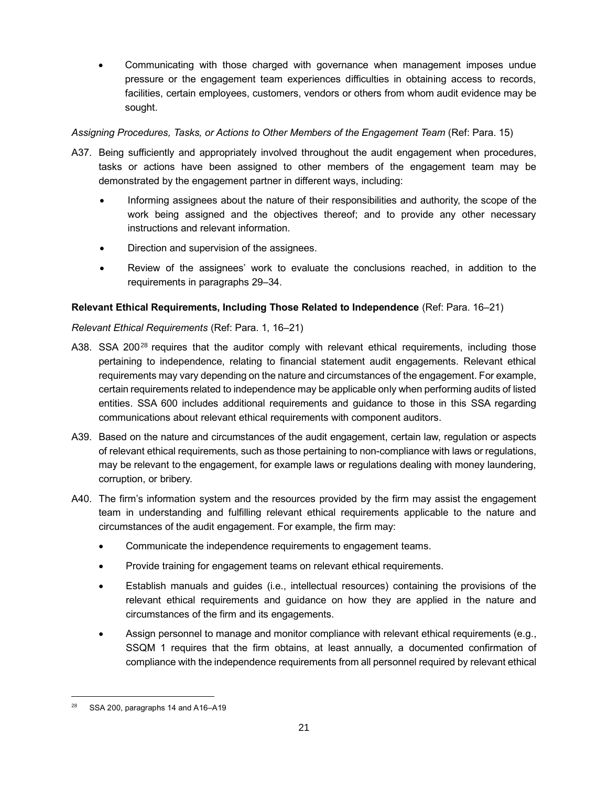• Communicating with those charged with governance when management imposes undue pressure or the engagement team experiences difficulties in obtaining access to records, facilities, certain employees, customers, vendors or others from whom audit evidence may be sought.

## *Assigning Procedures, Tasks, or Actions to Other Members of the Engagement Team* (Ref: Para. 15)

- A37. Being sufficiently and appropriately involved throughout the audit engagement when procedures, tasks or actions have been assigned to other members of the engagement team may be demonstrated by the engagement partner in different ways, including:
	- Informing assignees about the nature of their responsibilities and authority, the scope of the work being assigned and the objectives thereof; and to provide any other necessary instructions and relevant information.
	- Direction and supervision of the assignees.
	- Review of the assignees' work to evaluate the conclusions reached, in addition to the requirements in paragraphs 29–34.

## **Relevant Ethical Requirements, Including Those Related to Independence** (Ref: Para. 16–21)

## *Relevant Ethical Requirements* (Ref: Para. 1, 16–21)

- A38. SSA 200<sup>28</sup> requires that the auditor comply with relevant ethical requirements, including those pertaining to independence, relating to financial statement audit engagements. Relevant ethical requirements may vary depending on the nature and circumstances of the engagement. For example, certain requirements related to independence may be applicable only when performing audits of listed entities. SSA 600 includes additional requirements and guidance to those in this SSA regarding communications about relevant ethical requirements with component auditors.
- A39. Based on the nature and circumstances of the audit engagement, certain law, regulation or aspects of relevant ethical requirements, such as those pertaining to non-compliance with laws or regulations, may be relevant to the engagement, for example laws or regulations dealing with money laundering, corruption, or bribery.
- A40. The firm's information system and the resources provided by the firm may assist the engagement team in understanding and fulfilling relevant ethical requirements applicable to the nature and circumstances of the audit engagement. For example, the firm may:
	- Communicate the independence requirements to engagement teams.
	- Provide training for engagement teams on relevant ethical requirements.
	- Establish manuals and guides (i.e., intellectual resources) containing the provisions of the relevant ethical requirements and guidance on how they are applied in the nature and circumstances of the firm and its engagements.
	- Assign personnel to manage and monitor compliance with relevant ethical requirements (e.g., SSQM 1 requires that the firm obtains, at least annually, a documented confirmation of compliance with the independence requirements from all personnel required by relevant ethical

SSA 200, paragraphs 14 and A16-A19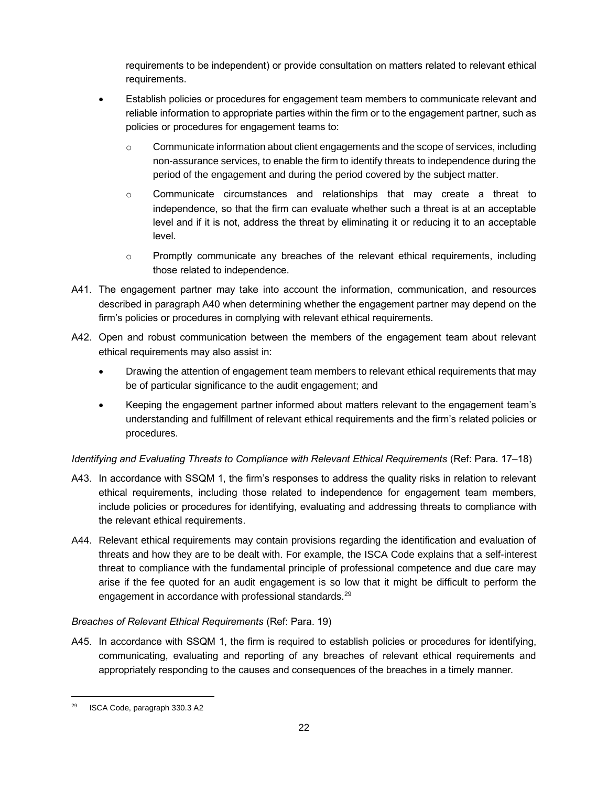requirements to be independent) or provide consultation on matters related to relevant ethical requirements.

- Establish policies or procedures for engagement team members to communicate relevant and reliable information to appropriate parties within the firm or to the engagement partner, such as policies or procedures for engagement teams to:
	- $\circ$  Communicate information about client engagements and the scope of services, including non-assurance services, to enable the firm to identify threats to independence during the period of the engagement and during the period covered by the subject matter.
	- $\circ$  Communicate circumstances and relationships that may create a threat to independence, so that the firm can evaluate whether such a threat is at an acceptable level and if it is not, address the threat by eliminating it or reducing it to an acceptable level.
	- $\circ$  Promptly communicate any breaches of the relevant ethical requirements, including those related to independence.
- A41. The engagement partner may take into account the information, communication, and resources described in paragraph A40 when determining whether the engagement partner may depend on the firm's policies or procedures in complying with relevant ethical requirements.
- A42. Open and robust communication between the members of the engagement team about relevant ethical requirements may also assist in:
	- Drawing the attention of engagement team members to relevant ethical requirements that may be of particular significance to the audit engagement; and
	- Keeping the engagement partner informed about matters relevant to the engagement team's understanding and fulfillment of relevant ethical requirements and the firm's related policies or procedures.

*Identifying and Evaluating Threats to Compliance with Relevant Ethical Requirements* (Ref: Para. 17–18)

- A43. In accordance with SSQM 1, the firm's responses to address the quality risks in relation to relevant ethical requirements, including those related to independence for engagement team members, include policies or procedures for identifying, evaluating and addressing threats to compliance with the relevant ethical requirements.
- A44. Relevant ethical requirements may contain provisions regarding the identification and evaluation of threats and how they are to be dealt with. For example, the ISCA Code explains that a self-interest threat to compliance with the fundamental principle of professional competence and due care may arise if the fee quoted for an audit engagement is so low that it might be difficult to perform the engagement in accordance with professional standards.<sup>29</sup>

## *Breaches of Relevant Ethical Requirements* (Ref: Para. 19)

A45. In accordance with SSQM 1, the firm is required to establish policies or procedures for identifying, communicating, evaluating and reporting of any breaches of relevant ethical requirements and appropriately responding to the causes and consequences of the breaches in a timely manner.

<sup>29</sup> ISCA Code, paragraph 330.3 A2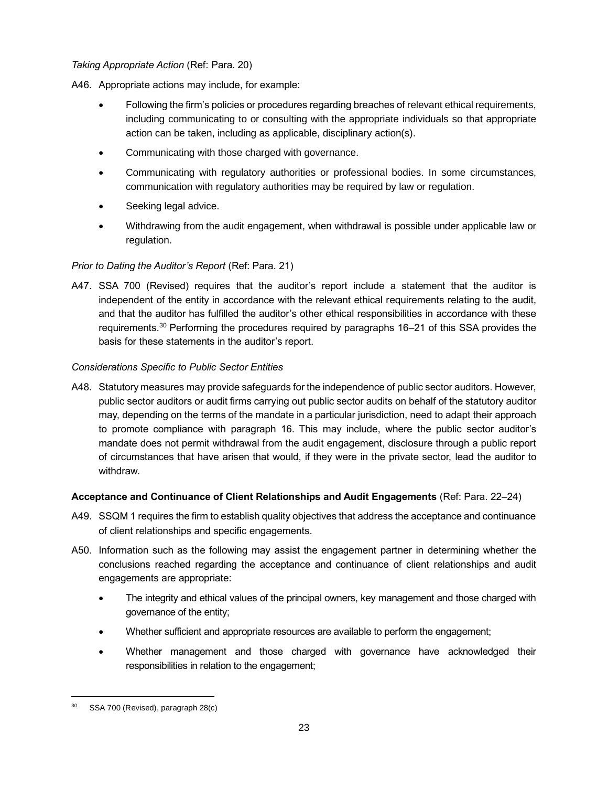#### *Taking Appropriate Action* (Ref: Para. 20)

A46. Appropriate actions may include, for example:

- Following the firm's policies or procedures regarding breaches of relevant ethical requirements, including communicating to or consulting with the appropriate individuals so that appropriate action can be taken, including as applicable, disciplinary action(s).
- Communicating with those charged with governance.
- Communicating with regulatory authorities or professional bodies. In some circumstances, communication with regulatory authorities may be required by law or regulation.
- Seeking legal advice.
- Withdrawing from the audit engagement, when withdrawal is possible under applicable law or regulation.

## *Prior to Dating the Auditor's Report* (Ref: Para. 21)

A47. SSA 700 (Revised) requires that the auditor's report include a statement that the auditor is independent of the entity in accordance with the relevant ethical requirements relating to the audit, and that the auditor has fulfilled the auditor's other ethical responsibilities in accordance with these requirements.<sup>30</sup> Performing the procedures required by paragraphs 16–21 of this SSA provides the basis for these statements in the auditor's report.

## *Considerations Specific to Public Sector Entities*

A48. Statutory measures may provide safeguards for the independence of public sector auditors. However, public sector auditors or audit firms carrying out public sector audits on behalf of the statutory auditor may, depending on the terms of the mandate in a particular jurisdiction, need to adapt their approach to promote compliance with paragraph 16. This may include, where the public sector auditor's mandate does not permit withdrawal from the audit engagement, disclosure through a public report of circumstances that have arisen that would, if they were in the private sector, lead the auditor to withdraw.

#### **Acceptance and Continuance of Client Relationships and Audit Engagements** (Ref: Para. 22–24)

- A49. SSQM 1 requires the firm to establish quality objectives that address the acceptance and continuance of client relationships and specific engagements.
- A50. Information such as the following may assist the engagement partner in determining whether the conclusions reached regarding the acceptance and continuance of client relationships and audit engagements are appropriate:
	- The integrity and ethical values of the principal owners, key management and those charged with governance of the entity;
	- Whether sufficient and appropriate resources are available to perform the engagement;
	- Whether management and those charged with governance have acknowledged their responsibilities in relation to the engagement;

SSA 700 (Revised), paragraph 28(c)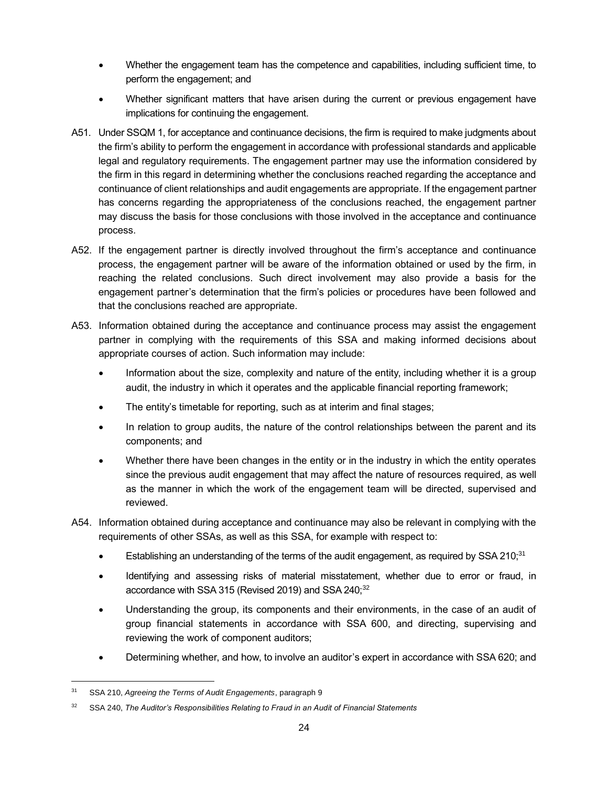- Whether the engagement team has the competence and capabilities, including sufficient time, to perform the engagement; and
- Whether significant matters that have arisen during the current or previous engagement have implications for continuing the engagement.
- A51. Under SSQM 1, for acceptance and continuance decisions, the firm is required to make judgments about the firm's ability to perform the engagement in accordance with professional standards and applicable legal and regulatory requirements. The engagement partner may use the information considered by the firm in this regard in determining whether the conclusions reached regarding the acceptance and continuance of client relationships and audit engagements are appropriate. If the engagement partner has concerns regarding the appropriateness of the conclusions reached, the engagement partner may discuss the basis for those conclusions with those involved in the acceptance and continuance process.
- A52. If the engagement partner is directly involved throughout the firm's acceptance and continuance process, the engagement partner will be aware of the information obtained or used by the firm, in reaching the related conclusions. Such direct involvement may also provide a basis for the engagement partner's determination that the firm's policies or procedures have been followed and that the conclusions reached are appropriate.
- A53. Information obtained during the acceptance and continuance process may assist the engagement partner in complying with the requirements of this SSA and making informed decisions about appropriate courses of action. Such information may include:
	- Information about the size, complexity and nature of the entity, including whether it is a group audit, the industry in which it operates and the applicable financial reporting framework;
	- The entity's timetable for reporting, such as at interim and final stages;
	- In relation to group audits, the nature of the control relationships between the parent and its components; and
	- Whether there have been changes in the entity or in the industry in which the entity operates since the previous audit engagement that may affect the nature of resources required, as well as the manner in which the work of the engagement team will be directed, supervised and reviewed.
- A54. Information obtained during acceptance and continuance may also be relevant in complying with the requirements of other SSAs, as well as this SSA, for example with respect to:
	- Establishing an understanding of the terms of the audit engagement, as required by SSA 210;<sup>31</sup>
	- Identifying and assessing risks of material misstatement, whether due to error or fraud, in accordance with SSA 315 (Revised 2019) and SSA 240;<sup>32</sup>
	- Understanding the group, its components and their environments, in the case of an audit of group financial statements in accordance with SSA 600, and directing, supervising and reviewing the work of component auditors;
	- Determining whether, and how, to involve an auditor's expert in accordance with SSA 620; and

<sup>31</sup> SSA 210, *Agreeing the Terms of Audit Engagements*, paragraph 9

<sup>32</sup> SSA 240, *The Auditor's Responsibilities Relating to Fraud in an Audit of Financial Statements*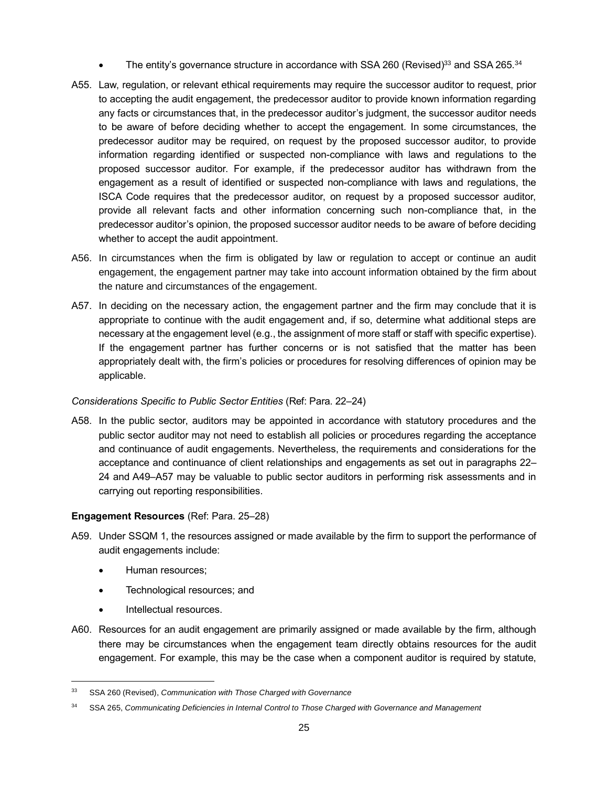- The entity's governance structure in accordance with SSA 260 (Revised)<sup>33</sup> and SSA 265.<sup>34</sup>
- A55. Law, regulation, or relevant ethical requirements may require the successor auditor to request, prior to accepting the audit engagement, the predecessor auditor to provide known information regarding any facts or circumstances that, in the predecessor auditor's judgment, the successor auditor needs to be aware of before deciding whether to accept the engagement. In some circumstances, the predecessor auditor may be required, on request by the proposed successor auditor, to provide information regarding identified or suspected non-compliance with laws and regulations to the proposed successor auditor. For example, if the predecessor auditor has withdrawn from the engagement as a result of identified or suspected non-compliance with laws and regulations, the ISCA Code requires that the predecessor auditor, on request by a proposed successor auditor, provide all relevant facts and other information concerning such non-compliance that, in the predecessor auditor's opinion, the proposed successor auditor needs to be aware of before deciding whether to accept the audit appointment.
- A56. In circumstances when the firm is obligated by law or regulation to accept or continue an audit engagement, the engagement partner may take into account information obtained by the firm about the nature and circumstances of the engagement.
- A57. In deciding on the necessary action, the engagement partner and the firm may conclude that it is appropriate to continue with the audit engagement and, if so, determine what additional steps are necessary at the engagement level (e.g., the assignment of more staff or staff with specific expertise). If the engagement partner has further concerns or is not satisfied that the matter has been appropriately dealt with, the firm's policies or procedures for resolving differences of opinion may be applicable.

#### *Considerations Specific to Public Sector Entities* (Ref: Para. 22–24)

A58. In the public sector, auditors may be appointed in accordance with statutory procedures and the public sector auditor may not need to establish all policies or procedures regarding the acceptance and continuance of audit engagements. Nevertheless, the requirements and considerations for the acceptance and continuance of client relationships and engagements as set out in paragraphs 22– 24 and A49–A57 may be valuable to public sector auditors in performing risk assessments and in carrying out reporting responsibilities.

#### **Engagement Resources** (Ref: Para. 25–28)

- A59. Under SSQM 1, the resources assigned or made available by the firm to support the performance of audit engagements include:
	- Human resources;
	- Technological resources; and
	- Intellectual resources.
- A60. Resources for an audit engagement are primarily assigned or made available by the firm, although there may be circumstances when the engagement team directly obtains resources for the audit engagement. For example, this may be the case when a component auditor is required by statute,

<sup>33</sup> SSA 260 (Revised), *Communication with Those Charged with Governance*

<sup>34</sup> SSA 265, *Communicating Deficiencies in Internal Control to Those Charged with Governance and Management*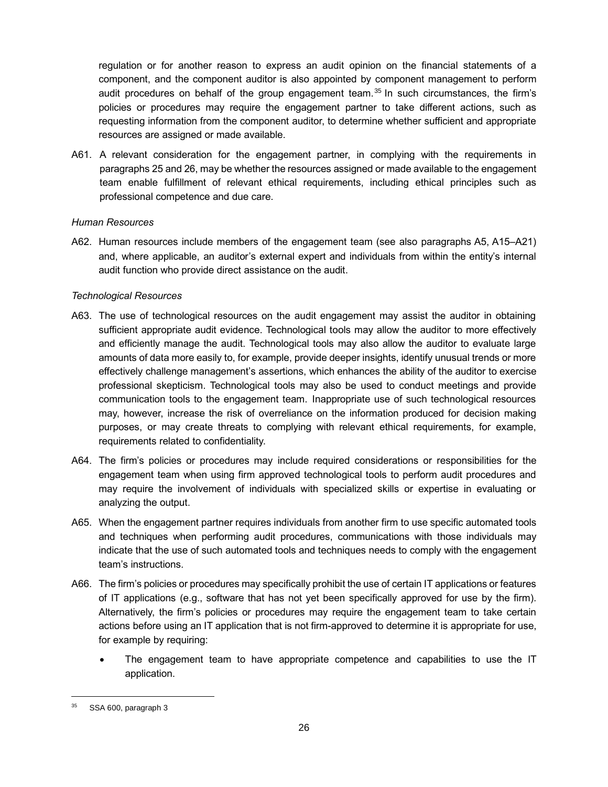regulation or for another reason to express an audit opinion on the financial statements of a component, and the component auditor is also appointed by component management to perform audit procedures on behalf of the group engagement team.<sup>35</sup> In such circumstances, the firm's policies or procedures may require the engagement partner to take different actions, such as requesting information from the component auditor, to determine whether sufficient and appropriate resources are assigned or made available.

A61. A relevant consideration for the engagement partner, in complying with the requirements in paragraphs 25 and 26, may be whether the resources assigned or made available to the engagement team enable fulfillment of relevant ethical requirements, including ethical principles such as professional competence and due care.

#### *Human Resources*

A62. Human resources include members of the engagement team (see also paragraphs A5, A15–A21) and, where applicable, an auditor's external expert and individuals from within the entity's internal audit function who provide direct assistance on the audit.

#### *Technological Resources*

- A63. The use of technological resources on the audit engagement may assist the auditor in obtaining sufficient appropriate audit evidence. Technological tools may allow the auditor to more effectively and efficiently manage the audit. Technological tools may also allow the auditor to evaluate large amounts of data more easily to, for example, provide deeper insights, identify unusual trends or more effectively challenge management's assertions, which enhances the ability of the auditor to exercise professional skepticism. Technological tools may also be used to conduct meetings and provide communication tools to the engagement team. Inappropriate use of such technological resources may, however, increase the risk of overreliance on the information produced for decision making purposes, or may create threats to complying with relevant ethical requirements, for example, requirements related to confidentiality.
- A64. The firm's policies or procedures may include required considerations or responsibilities for the engagement team when using firm approved technological tools to perform audit procedures and may require the involvement of individuals with specialized skills or expertise in evaluating or analyzing the output.
- A65. When the engagement partner requires individuals from another firm to use specific automated tools and techniques when performing audit procedures, communications with those individuals may indicate that the use of such automated tools and techniques needs to comply with the engagement team's instructions.
- A66. The firm's policies or procedures may specifically prohibit the use of certain IT applications or features of IT applications (e.g., software that has not yet been specifically approved for use by the firm). Alternatively, the firm's policies or procedures may require the engagement team to take certain actions before using an IT application that is not firm-approved to determine it is appropriate for use, for example by requiring:
	- The engagement team to have appropriate competence and capabilities to use the IT application.

<sup>35</sup> SSA 600, paragraph 3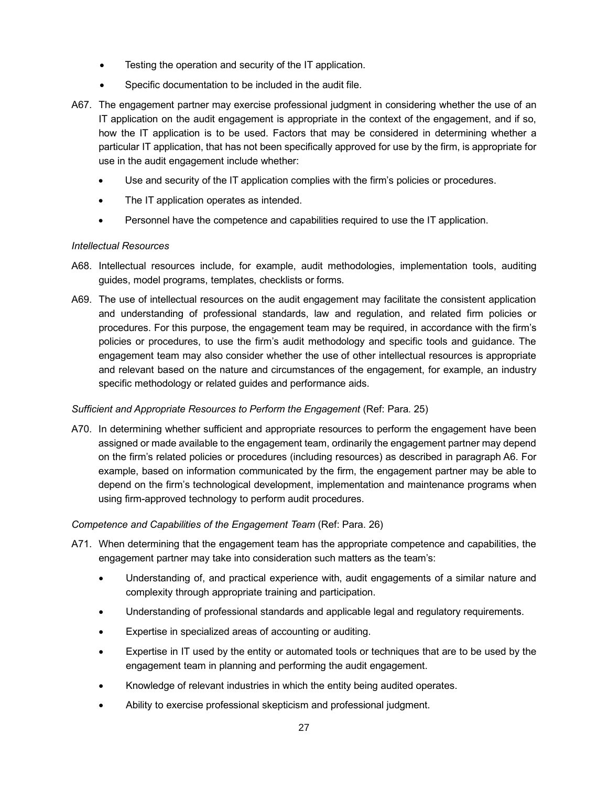- Testing the operation and security of the IT application.
- Specific documentation to be included in the audit file.
- A67. The engagement partner may exercise professional judgment in considering whether the use of an IT application on the audit engagement is appropriate in the context of the engagement, and if so, how the IT application is to be used. Factors that may be considered in determining whether a particular IT application, that has not been specifically approved for use by the firm, is appropriate for use in the audit engagement include whether:
	- Use and security of the IT application complies with the firm's policies or procedures.
	- The IT application operates as intended.
	- Personnel have the competence and capabilities required to use the IT application.

#### *Intellectual Resources*

- A68. Intellectual resources include, for example, audit methodologies, implementation tools, auditing guides, model programs, templates, checklists or forms.
- A69. The use of intellectual resources on the audit engagement may facilitate the consistent application and understanding of professional standards, law and regulation, and related firm policies or procedures. For this purpose, the engagement team may be required, in accordance with the firm's policies or procedures, to use the firm's audit methodology and specific tools and guidance. The engagement team may also consider whether the use of other intellectual resources is appropriate and relevant based on the nature and circumstances of the engagement, for example, an industry specific methodology or related guides and performance aids.

#### *Sufficient and Appropriate Resources to Perform the Engagement* (Ref: Para. 25)

A70. In determining whether sufficient and appropriate resources to perform the engagement have been assigned or made available to the engagement team, ordinarily the engagement partner may depend on the firm's related policies or procedures (including resources) as described in paragraph A6. For example, based on information communicated by the firm, the engagement partner may be able to depend on the firm's technological development, implementation and maintenance programs when using firm-approved technology to perform audit procedures.

#### *Competence and Capabilities of the Engagement Team* (Ref: Para. 26)

- A71. When determining that the engagement team has the appropriate competence and capabilities, the engagement partner may take into consideration such matters as the team's:
	- Understanding of, and practical experience with, audit engagements of a similar nature and complexity through appropriate training and participation.
	- Understanding of professional standards and applicable legal and regulatory requirements.
	- Expertise in specialized areas of accounting or auditing.
	- Expertise in IT used by the entity or automated tools or techniques that are to be used by the engagement team in planning and performing the audit engagement.
	- Knowledge of relevant industries in which the entity being audited operates.
	- Ability to exercise professional skepticism and professional judgment.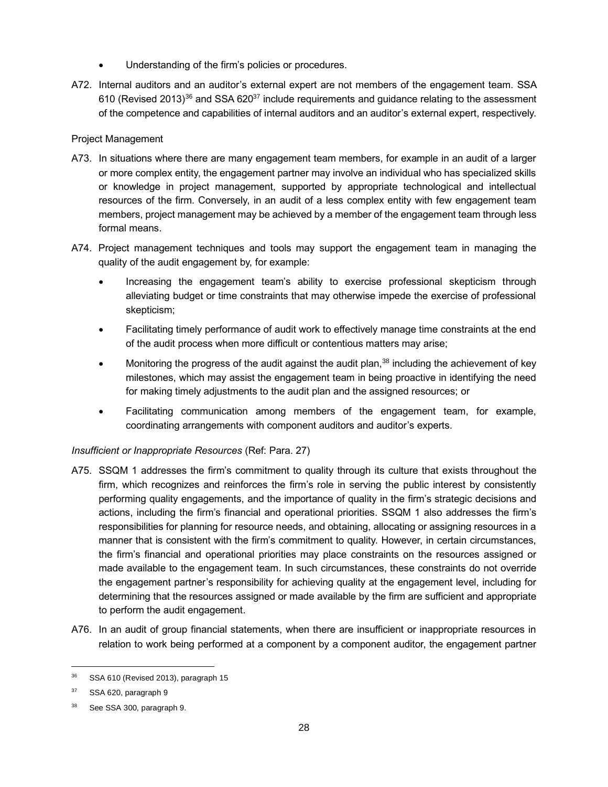- Understanding of the firm's policies or procedures.
- A72. Internal auditors and an auditor's external expert are not members of the engagement team. SSA 610 (Revised 2013)<sup>36</sup> and SSA 620<sup>37</sup> include requirements and guidance relating to the assessment of the competence and capabilities of internal auditors and an auditor's external expert, respectively.

### Project Management

- A73. In situations where there are many engagement team members, for example in an audit of a larger or more complex entity, the engagement partner may involve an individual who has specialized skills or knowledge in project management, supported by appropriate technological and intellectual resources of the firm. Conversely, in an audit of a less complex entity with few engagement team members, project management may be achieved by a member of the engagement team through less formal means.
- A74. Project management techniques and tools may support the engagement team in managing the quality of the audit engagement by, for example:
	- Increasing the engagement team's ability to exercise professional skepticism through alleviating budget or time constraints that may otherwise impede the exercise of professional skepticism;
	- Facilitating timely performance of audit work to effectively manage time constraints at the end of the audit process when more difficult or contentious matters may arise;
	- Monitoring the progress of the audit against the audit plan, $38$  including the achievement of key milestones, which may assist the engagement team in being proactive in identifying the need for making timely adjustments to the audit plan and the assigned resources; or
	- Facilitating communication among members of the engagement team, for example, coordinating arrangements with component auditors and auditor's experts.

#### *Insufficient or Inappropriate Resources* (Ref: Para. 27)

- A75. SSQM 1 addresses the firm's commitment to quality through its culture that exists throughout the firm, which recognizes and reinforces the firm's role in serving the public interest by consistently performing quality engagements, and the importance of quality in the firm's strategic decisions and actions, including the firm's financial and operational priorities. SSQM 1 also addresses the firm's responsibilities for planning for resource needs, and obtaining, allocating or assigning resources in a manner that is consistent with the firm's commitment to quality. However, in certain circumstances, the firm's financial and operational priorities may place constraints on the resources assigned or made available to the engagement team. In such circumstances, these constraints do not override the engagement partner's responsibility for achieving quality at the engagement level, including for determining that the resources assigned or made available by the firm are sufficient and appropriate to perform the audit engagement.
- A76. In an audit of group financial statements, when there are insufficient or inappropriate resources in relation to work being performed at a component by a component auditor, the engagement partner

<sup>&</sup>lt;sup>36</sup> SSA 610 (Revised 2013), paragraph 15

<sup>37</sup> SSA 620, paragraph 9

See SSA 300, paragraph 9.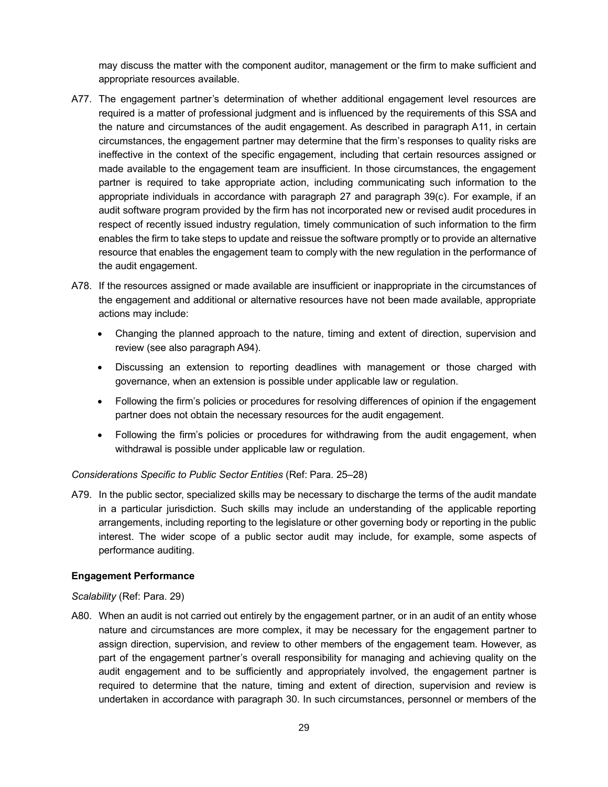may discuss the matter with the component auditor, management or the firm to make sufficient and appropriate resources available.

- A77. The engagement partner's determination of whether additional engagement level resources are required is a matter of professional judgment and is influenced by the requirements of this SSA and the nature and circumstances of the audit engagement. As described in paragraph A11, in certain circumstances, the engagement partner may determine that the firm's responses to quality risks are ineffective in the context of the specific engagement, including that certain resources assigned or made available to the engagement team are insufficient. In those circumstances, the engagement partner is required to take appropriate action, including communicating such information to the appropriate individuals in accordance with paragraph 27 and paragraph 39(c). For example, if an audit software program provided by the firm has not incorporated new or revised audit procedures in respect of recently issued industry regulation, timely communication of such information to the firm enables the firm to take steps to update and reissue the software promptly or to provide an alternative resource that enables the engagement team to comply with the new regulation in the performance of the audit engagement.
- A78. If the resources assigned or made available are insufficient or inappropriate in the circumstances of the engagement and additional or alternative resources have not been made available, appropriate actions may include:
	- Changing the planned approach to the nature, timing and extent of direction, supervision and review (see also paragraph A94).
	- Discussing an extension to reporting deadlines with management or those charged with governance, when an extension is possible under applicable law or regulation.
	- Following the firm's policies or procedures for resolving differences of opinion if the engagement partner does not obtain the necessary resources for the audit engagement.
	- Following the firm's policies or procedures for withdrawing from the audit engagement, when withdrawal is possible under applicable law or regulation.

#### *Considerations Specific to Public Sector Entities* (Ref: Para. 25–28)

A79. In the public sector, specialized skills may be necessary to discharge the terms of the audit mandate in a particular jurisdiction. Such skills may include an understanding of the applicable reporting arrangements, including reporting to the legislature or other governing body or reporting in the public interest. The wider scope of a public sector audit may include, for example, some aspects of performance auditing.

#### **Engagement Performance**

#### *Scalability* (Ref: Para. 29)

A80. When an audit is not carried out entirely by the engagement partner, or in an audit of an entity whose nature and circumstances are more complex, it may be necessary for the engagement partner to assign direction, supervision, and review to other members of the engagement team. However, as part of the engagement partner's overall responsibility for managing and achieving quality on the audit engagement and to be sufficiently and appropriately involved, the engagement partner is required to determine that the nature, timing and extent of direction, supervision and review is undertaken in accordance with paragraph 30. In such circumstances, personnel or members of the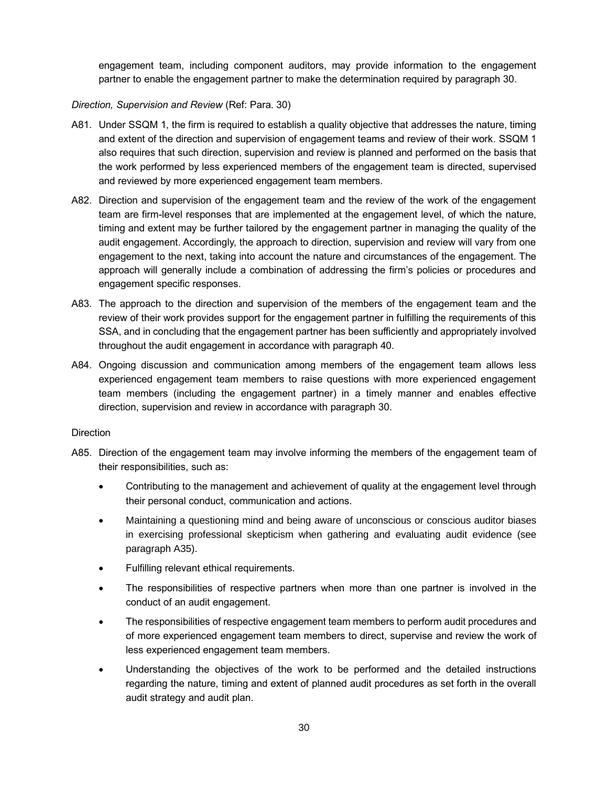engagement team, including component auditors, may provide information to the engagement partner to enable the engagement partner to make the determination required by paragraph 30.

#### *Direction, Supervision and Review* (Ref: Para. 30)

- A81. Under SSQM 1, the firm is required to establish a quality objective that addresses the nature, timing and extent of the direction and supervision of engagement teams and review of their work. SSQM 1 also requires that such direction, supervision and review is planned and performed on the basis that the work performed by less experienced members of the engagement team is directed, supervised and reviewed by more experienced engagement team members.
- A82. Direction and supervision of the engagement team and the review of the work of the engagement team are firm-level responses that are implemented at the engagement level, of which the nature, timing and extent may be further tailored by the engagement partner in managing the quality of the audit engagement. Accordingly, the approach to direction, supervision and review will vary from one engagement to the next, taking into account the nature and circumstances of the engagement. The approach will generally include a combination of addressing the firm's policies or procedures and engagement specific responses.
- A83. The approach to the direction and supervision of the members of the engagement team and the review of their work provides support for the engagement partner in fulfilling the requirements of this SSA, and in concluding that the engagement partner has been sufficiently and appropriately involved throughout the audit engagement in accordance with paragraph 40.
- A84. Ongoing discussion and communication among members of the engagement team allows less experienced engagement team members to raise questions with more experienced engagement team members (including the engagement partner) in a timely manner and enables effective direction, supervision and review in accordance with paragraph 30.

#### **Direction**

- A85. Direction of the engagement team may involve informing the members of the engagement team of their responsibilities, such as:
	- Contributing to the management and achievement of quality at the engagement level through their personal conduct, communication and actions.
	- Maintaining a questioning mind and being aware of unconscious or conscious auditor biases in exercising professional skepticism when gathering and evaluating audit evidence (see paragraph A35).
	- Fulfilling relevant ethical requirements.
	- The responsibilities of respective partners when more than one partner is involved in the conduct of an audit engagement.
	- The responsibilities of respective engagement team members to perform audit procedures and of more experienced engagement team members to direct, supervise and review the work of less experienced engagement team members.
	- Understanding the objectives of the work to be performed and the detailed instructions regarding the nature, timing and extent of planned audit procedures as set forth in the overall audit strategy and audit plan.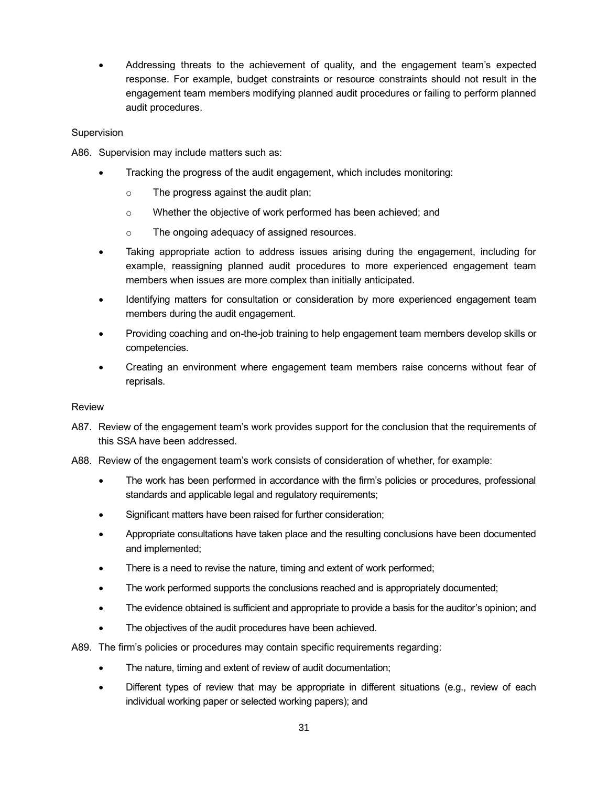• Addressing threats to the achievement of quality, and the engagement team's expected response. For example, budget constraints or resource constraints should not result in the engagement team members modifying planned audit procedures or failing to perform planned audit procedures.

#### **Supervision**

A86. Supervision may include matters such as:

- Tracking the progress of the audit engagement, which includes monitoring:
	- o The progress against the audit plan;
	- o Whether the objective of work performed has been achieved; and
	- o The ongoing adequacy of assigned resources.
- Taking appropriate action to address issues arising during the engagement, including for example, reassigning planned audit procedures to more experienced engagement team members when issues are more complex than initially anticipated.
- Identifying matters for consultation or consideration by more experienced engagement team members during the audit engagement.
- Providing coaching and on-the-job training to help engagement team members develop skills or competencies.
- Creating an environment where engagement team members raise concerns without fear of reprisals.

#### Review

- A87. Review of the engagement team's work provides support for the conclusion that the requirements of this SSA have been addressed.
- A88. Review of the engagement team's work consists of consideration of whether, for example:
	- The work has been performed in accordance with the firm's policies or procedures, professional standards and applicable legal and regulatory requirements;
	- Significant matters have been raised for further consideration;
	- Appropriate consultations have taken place and the resulting conclusions have been documented and implemented;
	- There is a need to revise the nature, timing and extent of work performed;
	- The work performed supports the conclusions reached and is appropriately documented;
	- The evidence obtained is sufficient and appropriate to provide a basis for the auditor's opinion; and
	- The objectives of the audit procedures have been achieved.

A89. The firm's policies or procedures may contain specific requirements regarding:

- The nature, timing and extent of review of audit documentation;
- Different types of review that may be appropriate in different situations (e.g., review of each individual working paper or selected working papers); and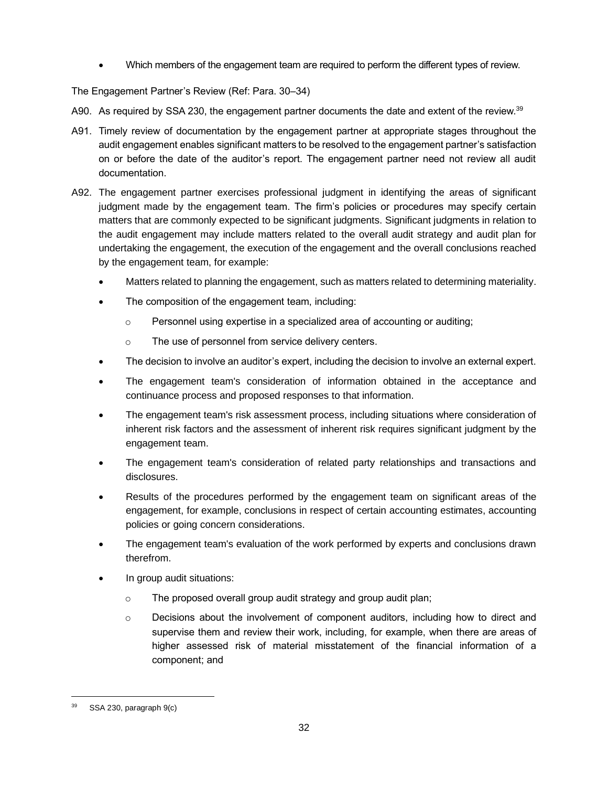• Which members of the engagement team are required to perform the different types of review.

The Engagement Partner's Review (Ref: Para. 30–34)

- A90. As required by SSA 230, the engagement partner documents the date and extent of the review.<sup>39</sup>
- A91. Timely review of documentation by the engagement partner at appropriate stages throughout the audit engagement enables significant matters to be resolved to the engagement partner's satisfaction on or before the date of the auditor's report. The engagement partner need not review all audit documentation.
- A92. The engagement partner exercises professional judgment in identifying the areas of significant judgment made by the engagement team. The firm's policies or procedures may specify certain matters that are commonly expected to be significant judgments. Significant judgments in relation to the audit engagement may include matters related to the overall audit strategy and audit plan for undertaking the engagement, the execution of the engagement and the overall conclusions reached by the engagement team, for example:
	- Matters related to planning the engagement, such as matters related to determining materiality.
	- The composition of the engagement team, including:
		- o Personnel using expertise in a specialized area of accounting or auditing;
		- o The use of personnel from service delivery centers.
	- The decision to involve an auditor's expert, including the decision to involve an external expert.
	- The engagement team's consideration of information obtained in the acceptance and continuance process and proposed responses to that information.
	- The engagement team's risk assessment process, including situations where consideration of inherent risk factors and the assessment of inherent risk requires significant judgment by the engagement team.
	- The engagement team's consideration of related party relationships and transactions and disclosures.
	- Results of the procedures performed by the engagement team on significant areas of the engagement, for example, conclusions in respect of certain accounting estimates, accounting policies or going concern considerations.
	- The engagement team's evaluation of the work performed by experts and conclusions drawn therefrom.
	- In group audit situations:
		- o The proposed overall group audit strategy and group audit plan;
		- $\circ$  Decisions about the involvement of component auditors, including how to direct and supervise them and review their work, including, for example, when there are areas of higher assessed risk of material misstatement of the financial information of a component; and

SSA 230, paragraph 9(c)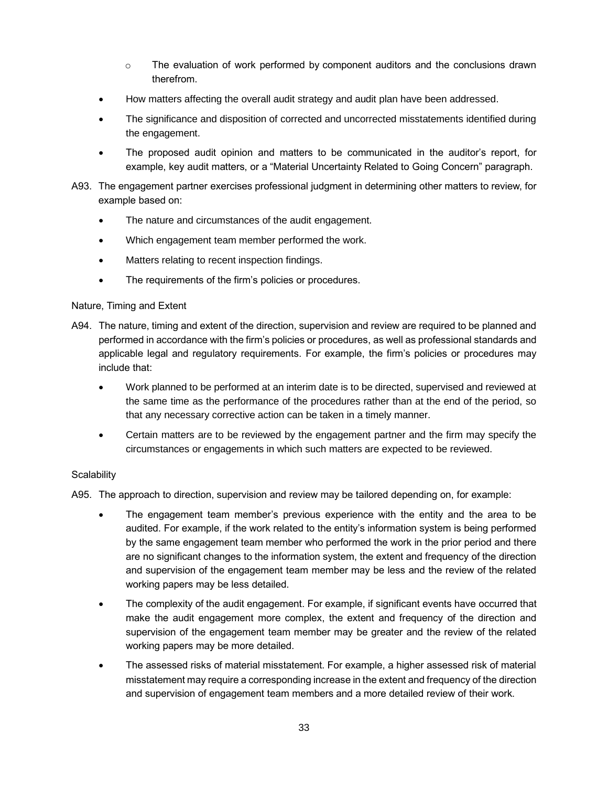- $\circ$  The evaluation of work performed by component auditors and the conclusions drawn therefrom.
- How matters affecting the overall audit strategy and audit plan have been addressed.
- The significance and disposition of corrected and uncorrected misstatements identified during the engagement.
- The proposed audit opinion and matters to be communicated in the auditor's report, for example, key audit matters, or a "Material Uncertainty Related to Going Concern" paragraph.
- A93. The engagement partner exercises professional judgment in determining other matters to review, for example based on:
	- The nature and circumstances of the audit engagement.
	- Which engagement team member performed the work.
	- Matters relating to recent inspection findings.
	- The requirements of the firm's policies or procedures.

#### Nature, Timing and Extent

- A94. The nature, timing and extent of the direction, supervision and review are required to be planned and performed in accordance with the firm's policies or procedures, as well as professional standards and applicable legal and regulatory requirements. For example, the firm's policies or procedures may include that:
	- Work planned to be performed at an interim date is to be directed, supervised and reviewed at the same time as the performance of the procedures rather than at the end of the period, so that any necessary corrective action can be taken in a timely manner.
	- Certain matters are to be reviewed by the engagement partner and the firm may specify the circumstances or engagements in which such matters are expected to be reviewed.

#### **Scalability**

A95. The approach to direction, supervision and review may be tailored depending on, for example:

- The engagement team member's previous experience with the entity and the area to be audited. For example, if the work related to the entity's information system is being performed by the same engagement team member who performed the work in the prior period and there are no significant changes to the information system, the extent and frequency of the direction and supervision of the engagement team member may be less and the review of the related working papers may be less detailed.
- The complexity of the audit engagement. For example, if significant events have occurred that make the audit engagement more complex, the extent and frequency of the direction and supervision of the engagement team member may be greater and the review of the related working papers may be more detailed.
- The assessed risks of material misstatement. For example, a higher assessed risk of material misstatement may require a corresponding increase in the extent and frequency of the direction and supervision of engagement team members and a more detailed review of their work.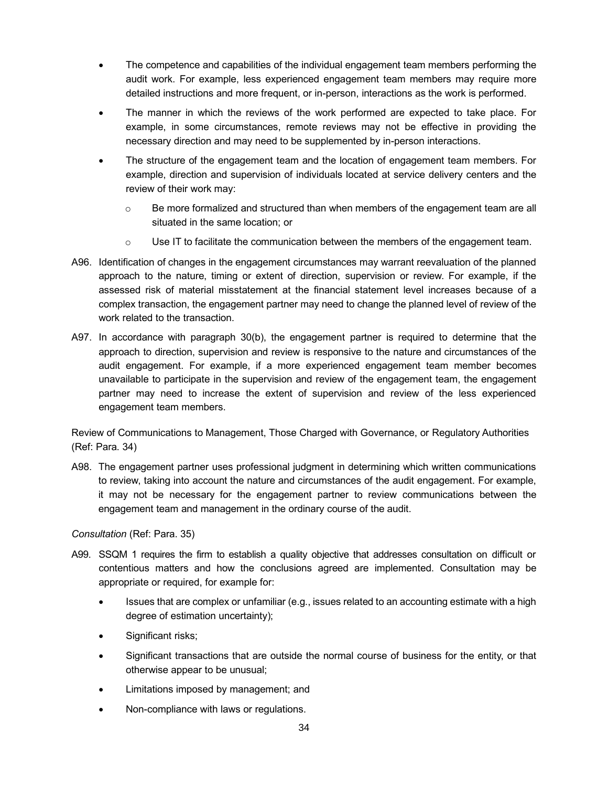- The competence and capabilities of the individual engagement team members performing the audit work. For example, less experienced engagement team members may require more detailed instructions and more frequent, or in-person, interactions as the work is performed.
- The manner in which the reviews of the work performed are expected to take place. For example, in some circumstances, remote reviews may not be effective in providing the necessary direction and may need to be supplemented by in-person interactions.
- The structure of the engagement team and the location of engagement team members. For example, direction and supervision of individuals located at service delivery centers and the review of their work may:
	- $\circ$  Be more formalized and structured than when members of the engagement team are all situated in the same location; or
	- $\circ$  Use IT to facilitate the communication between the members of the engagement team.
- A96. Identification of changes in the engagement circumstances may warrant reevaluation of the planned approach to the nature, timing or extent of direction, supervision or review. For example, if the assessed risk of material misstatement at the financial statement level increases because of a complex transaction, the engagement partner may need to change the planned level of review of the work related to the transaction.
- A97. In accordance with paragraph 30(b), the engagement partner is required to determine that the approach to direction, supervision and review is responsive to the nature and circumstances of the audit engagement. For example, if a more experienced engagement team member becomes unavailable to participate in the supervision and review of the engagement team, the engagement partner may need to increase the extent of supervision and review of the less experienced engagement team members.

Review of Communications to Management, Those Charged with Governance, or Regulatory Authorities (Ref: Para. 34)

A98. The engagement partner uses professional judgment in determining which written communications to review, taking into account the nature and circumstances of the audit engagement. For example, it may not be necessary for the engagement partner to review communications between the engagement team and management in the ordinary course of the audit.

*Consultation* (Ref: Para. 35)

- A99. SSQM 1 requires the firm to establish a quality objective that addresses consultation on difficult or contentious matters and how the conclusions agreed are implemented. Consultation may be appropriate or required, for example for:
	- Issues that are complex or unfamiliar (e.g., issues related to an accounting estimate with a high degree of estimation uncertainty);
	- Significant risks;
	- Significant transactions that are outside the normal course of business for the entity, or that otherwise appear to be unusual;
	- Limitations imposed by management; and
	- Non-compliance with laws or regulations.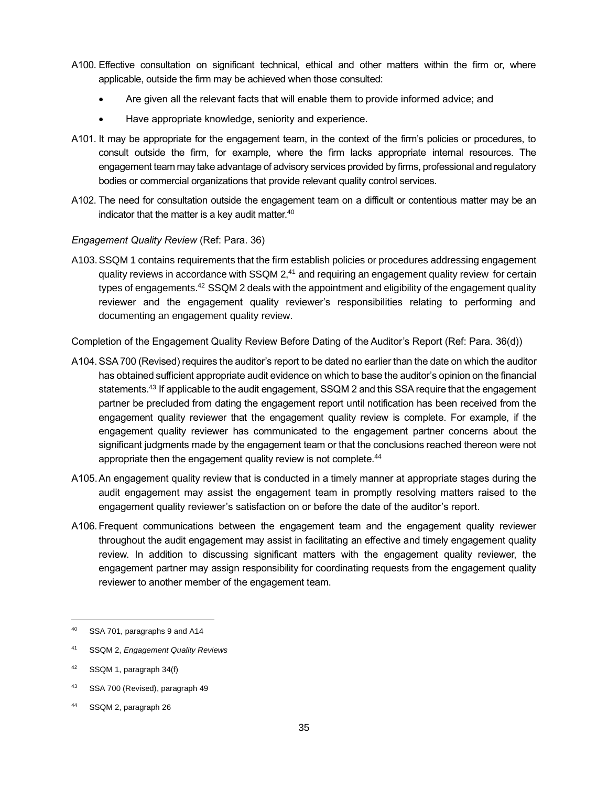- A100. Effective consultation on significant technical, ethical and other matters within the firm or, where applicable, outside the firm may be achieved when those consulted:
	- Are given all the relevant facts that will enable them to provide informed advice; and
	- Have appropriate knowledge, seniority and experience.
- A101. It may be appropriate for the engagement team, in the context of the firm's policies or procedures, to consult outside the firm, for example, where the firm lacks appropriate internal resources. The engagement team may take advantage of advisory services provided by firms, professional and regulatory bodies or commercial organizations that provide relevant quality control services.
- A102. The need for consultation outside the engagement team on a difficult or contentious matter may be an indicator that the matter is a key audit matter. $40$

## *Engagement Quality Review* (Ref: Para. 36)

A103.SSQM 1 contains requirements that the firm establish policies or procedures addressing engagement quality reviews in accordance with  $SSQM 2<sub>1</sub><sup>41</sup>$  and requiring an engagement quality review for certain types of engagements.<sup>42</sup> SSQM 2 deals with the appointment and eligibility of the engagement quality reviewer and the engagement quality reviewer's responsibilities relating to performing and documenting an engagement quality review.

Completion of the Engagement Quality Review Before Dating of the Auditor's Report (Ref: Para. 36(d))

- A104.SSA700 (Revised) requires the auditor's report to be dated no earlier than the date on which the auditor has obtained sufficient appropriate audit evidence on which to base the auditor's opinion on the financial statements.<sup>43</sup> If applicable to the audit engagement, SSQM 2 and this SSA require that the engagement partner be precluded from dating the engagement report until notification has been received from the engagement quality reviewer that the engagement quality review is complete. For example, if the engagement quality reviewer has communicated to the engagement partner concerns about the significant judgments made by the engagement team or that the conclusions reached thereon were not appropriate then the engagement quality review is not complete.<sup>44</sup>
- A105.An engagement quality review that is conducted in a timely manner at appropriate stages during the audit engagement may assist the engagement team in promptly resolving matters raised to the engagement quality reviewer's satisfaction on or before the date of the auditor's report.
- A106.Frequent communications between the engagement team and the engagement quality reviewer throughout the audit engagement may assist in facilitating an effective and timely engagement quality review. In addition to discussing significant matters with the engagement quality reviewer, the engagement partner may assign responsibility for coordinating requests from the engagement quality reviewer to another member of the engagement team.

<sup>40</sup> SSA 701, paragraphs 9 and A14

<sup>41</sup> SSQM 2, *Engagement Quality Reviews*

<sup>42</sup> SSQM 1, paragraph 34(f)

<sup>43</sup> SSA 700 (Revised), paragraph 49

<sup>44</sup> SSQM 2, paragraph 26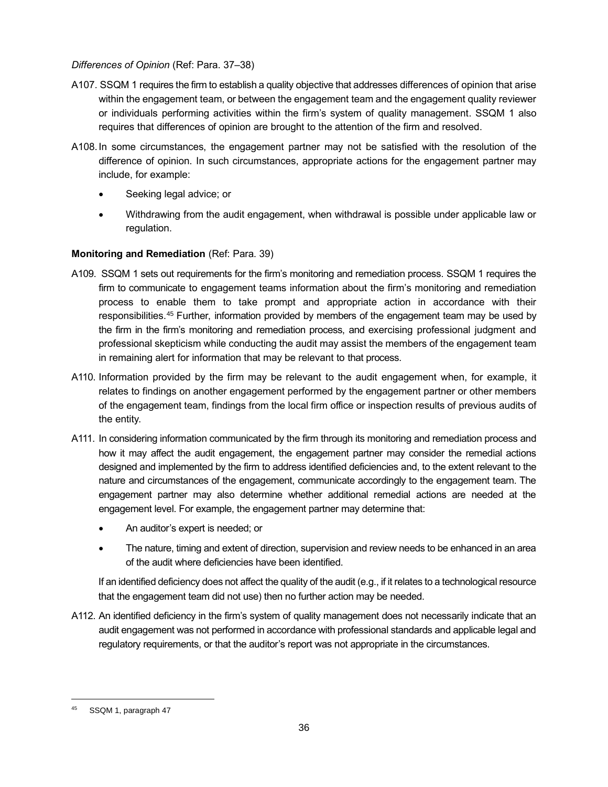### *Differences of Opinion* (Ref: Para. 37–38)

- A107. SSQM 1 requires the firm to establish a quality objective that addresses differences of opinion that arise within the engagement team, or between the engagement team and the engagement quality reviewer or individuals performing activities within the firm's system of quality management. SSQM 1 also requires that differences of opinion are brought to the attention of the firm and resolved.
- A108.In some circumstances, the engagement partner may not be satisfied with the resolution of the difference of opinion. In such circumstances, appropriate actions for the engagement partner may include, for example:
	- Seeking legal advice; or
	- Withdrawing from the audit engagement, when withdrawal is possible under applicable law or regulation.

## **Monitoring and Remediation** (Ref: Para. 39)

- A109. SSQM 1 sets out requirements for the firm's monitoring and remediation process. SSQM 1 requires the firm to communicate to engagement teams information about the firm's monitoring and remediation process to enable them to take prompt and appropriate action in accordance with their responsibilities.<sup>45</sup> Further, information provided by members of the engagement team may be used by the firm in the firm's monitoring and remediation process, and exercising professional judgment and professional skepticism while conducting the audit may assist the members of the engagement team in remaining alert for information that may be relevant to that process.
- A110. Information provided by the firm may be relevant to the audit engagement when, for example, it relates to findings on another engagement performed by the engagement partner or other members of the engagement team, findings from the local firm office or inspection results of previous audits of the entity.
- A111. In considering information communicated by the firm through its monitoring and remediation process and how it may affect the audit engagement, the engagement partner may consider the remedial actions designed and implemented by the firm to address identified deficiencies and, to the extent relevant to the nature and circumstances of the engagement, communicate accordingly to the engagement team. The engagement partner may also determine whether additional remedial actions are needed at the engagement level. For example, the engagement partner may determine that:
	- An auditor's expert is needed; or
	- The nature, timing and extent of direction, supervision and review needs to be enhanced in an area of the audit where deficiencies have been identified.

If an identified deficiency does not affect the quality of the audit (e.g., if it relates to a technological resource that the engagement team did not use) then no further action may be needed.

A112. An identified deficiency in the firm's system of quality management does not necessarily indicate that an audit engagement was not performed in accordance with professional standards and applicable legal and regulatory requirements, or that the auditor's report was not appropriate in the circumstances.

SSQM 1, paragraph 47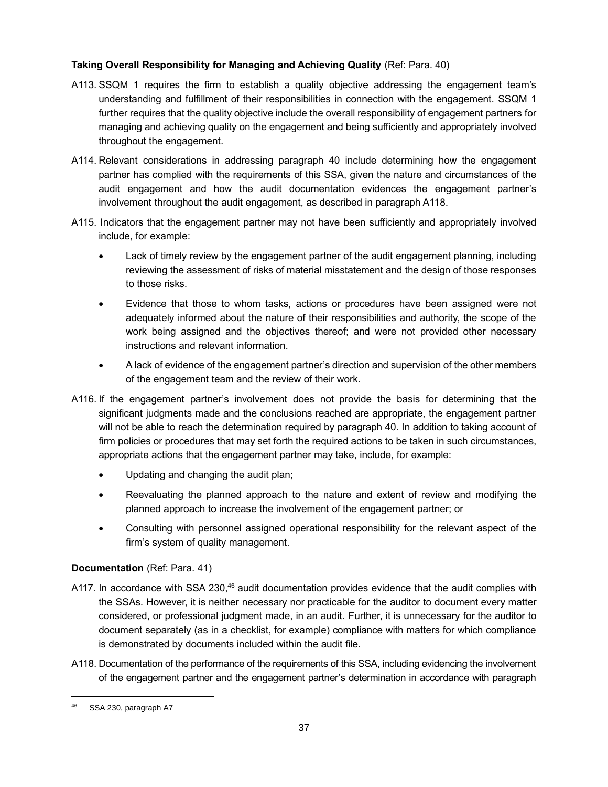## **Taking Overall Responsibility for Managing and Achieving Quality** (Ref: Para. 40)

- A113. SSQM 1 requires the firm to establish a quality objective addressing the engagement team's understanding and fulfillment of their responsibilities in connection with the engagement. SSQM 1 further requires that the quality objective include the overall responsibility of engagement partners for managing and achieving quality on the engagement and being sufficiently and appropriately involved throughout the engagement.
- A114. Relevant considerations in addressing paragraph 40 include determining how the engagement partner has complied with the requirements of this SSA, given the nature and circumstances of the audit engagement and how the audit documentation evidences the engagement partner's involvement throughout the audit engagement, as described in paragraph A118.
- A115. Indicators that the engagement partner may not have been sufficiently and appropriately involved include, for example:
	- Lack of timely review by the engagement partner of the audit engagement planning, including reviewing the assessment of risks of material misstatement and the design of those responses to those risks.
	- Evidence that those to whom tasks, actions or procedures have been assigned were not adequately informed about the nature of their responsibilities and authority, the scope of the work being assigned and the objectives thereof; and were not provided other necessary instructions and relevant information.
	- A lack of evidence of the engagement partner's direction and supervision of the other members of the engagement team and the review of their work.
- A116. If the engagement partner's involvement does not provide the basis for determining that the significant judgments made and the conclusions reached are appropriate, the engagement partner will not be able to reach the determination required by paragraph 40. In addition to taking account of firm policies or procedures that may set forth the required actions to be taken in such circumstances, appropriate actions that the engagement partner may take, include, for example:
	- Updating and changing the audit plan;
	- Reevaluating the planned approach to the nature and extent of review and modifying the planned approach to increase the involvement of the engagement partner; or
	- Consulting with personnel assigned operational responsibility for the relevant aspect of the firm's system of quality management.

## **Documentation** (Ref: Para. 41)

- A117. In accordance with SSA 230,<sup>46</sup> audit documentation provides evidence that the audit complies with the SSAs. However, it is neither necessary nor practicable for the auditor to document every matter considered, or professional judgment made, in an audit. Further, it is unnecessary for the auditor to document separately (as in a checklist, for example) compliance with matters for which compliance is demonstrated by documents included within the audit file.
- A118. Documentation of the performance of the requirements of this SSA, including evidencing the involvement of the engagement partner and the engagement partner's determination in accordance with paragraph

<sup>&</sup>lt;sup>46</sup> SSA 230, paragraph A7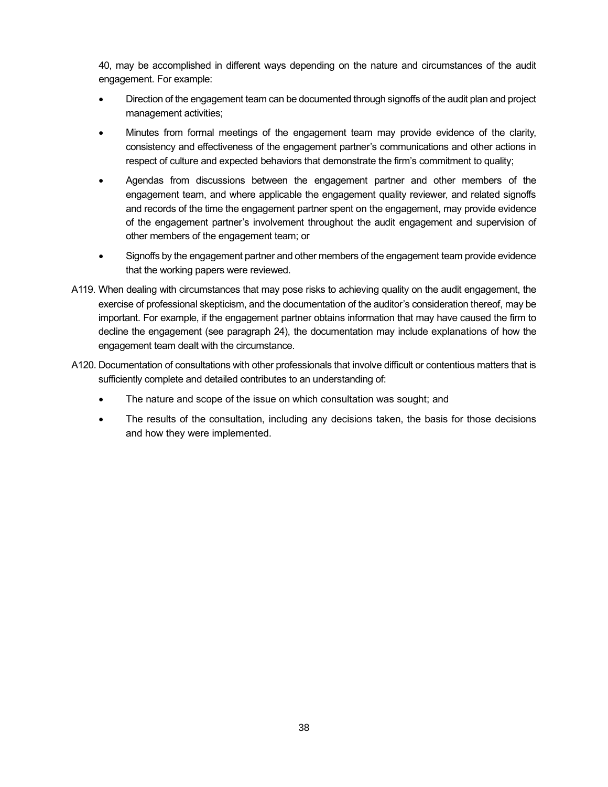40, may be accomplished in different ways depending on the nature and circumstances of the audit engagement. For example:

- Direction of the engagement team can be documented through signoffs of the audit plan and project management activities;
- Minutes from formal meetings of the engagement team may provide evidence of the clarity, consistency and effectiveness of the engagement partner's communications and other actions in respect of culture and expected behaviors that demonstrate the firm's commitment to quality;
- Agendas from discussions between the engagement partner and other members of the engagement team, and where applicable the engagement quality reviewer, and related signoffs and records of the time the engagement partner spent on the engagement, may provide evidence of the engagement partner's involvement throughout the audit engagement and supervision of other members of the engagement team; or
- Signoffs by the engagement partner and other members of the engagement team provide evidence that the working papers were reviewed.
- A119. When dealing with circumstances that may pose risks to achieving quality on the audit engagement, the exercise of professional skepticism, and the documentation of the auditor's consideration thereof, may be important. For example, if the engagement partner obtains information that may have caused the firm to decline the engagement (see paragraph 24), the documentation may include explanations of how the engagement team dealt with the circumstance.
- A120. Documentation of consultations with other professionals that involve difficult or contentious matters that is sufficiently complete and detailed contributes to an understanding of:
	- The nature and scope of the issue on which consultation was sought; and
	- The results of the consultation, including any decisions taken, the basis for those decisions and how they were implemented.